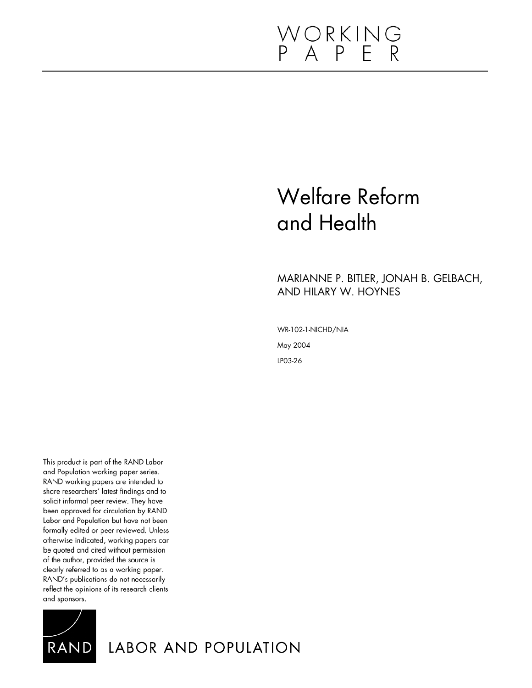# WORKING<br>P A P E R

# Welfare Reform and Health

# MARIANNE P. BITLER, JONAH B. GELBACH, AND HILARY W. HOYNES

WR-102-1-NICHD/NIA May 2004 LP03-26

This product is part of the RAND Labor and Population working paper series. RAND working papers are intended to share researchers' latest findings and to solicit informal peer review. They have been approved for circulation by RAND Labor and Population but have not been formally edited or peer reviewed. Unless otherwise indicated, working papers can be quoted and cited without permission of the author, provided the source is clearly referred to as a working paper. RAND's publications do not necessarily reflect the opinions of its research clients and sponsors.



LABOR AND POPULATION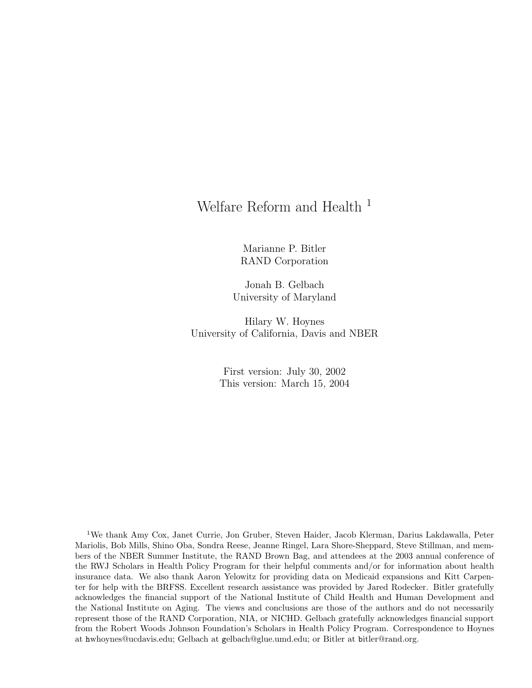# Welfare Reform and Health<sup>1</sup>

Marianne P. Bitler RAND Corporation

Jonah B. Gelbach University of Maryland

Hilary W. Hoynes University of California, Davis and NBER

> First version: July 30, 2002 This version: March 15, 2004

<sup>1</sup>We thank Amy Cox, Janet Currie, Jon Gruber, Steven Haider, Jacob Klerman, Darius Lakdawalla, Peter Mariolis, Bob Mills, Shino Oba, Sondra Reese, Jeanne Ringel, Lara Shore-Sheppard, Steve Stillman, and members of the NBER Summer Institute, the RAND Brown Bag, and attendees at the 2003 annual conference of the RWJ Scholars in Health Policy Program for their helpful comments and/or for information about health insurance data. We also thank Aaron Yelowitz for providing data on Medicaid expansions and Kitt Carpenter for help with the BRFSS. Excellent research assistance was provided by Jared Rodecker. Bitler gratefully acknowledges the financial support of the National Institute of Child Health and Human Development and the National Institute on Aging. The views and conclusions are those of the authors and do not necessarily represent those of the RAND Corporation, NIA, or NICHD. Gelbach gratefully acknowledges financial support from the Robert Woods Johnson Foundation's Scholars in Health Policy Program. Correspondence to Hoynes at hwhoynes@ucdavis.edu; Gelbach at gelbach@glue.umd.edu; or Bitler at bitler@rand.org.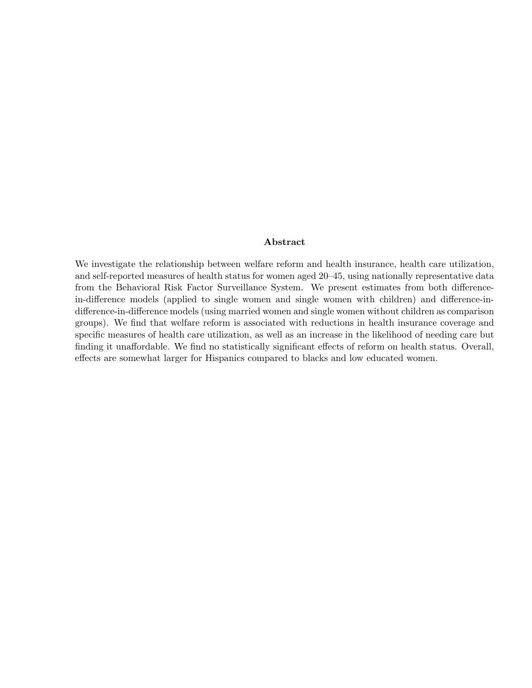#### Abstract

We investigate the relationship between welfare reform and health insurance, health care utilization, and self-reported measures of health status for women aged 20–45, using nationally representative data from the Behavioral Risk Factor Surveillance System. We present estimates from both differencein-difference models (applied to single women and single women with children) and difference-indifference-in-difference models (using married women and single women without children as comparison groups). We find that welfare reform is associated with reductions in health insurance coverage and specific measures of health care utilization, as well as an increase in the likelihood of needing care but finding it unaffordable. We find no statistically significant effects of reform on health status. Overall, effects are somewhat larger for Hispanics compared to blacks and low educated women.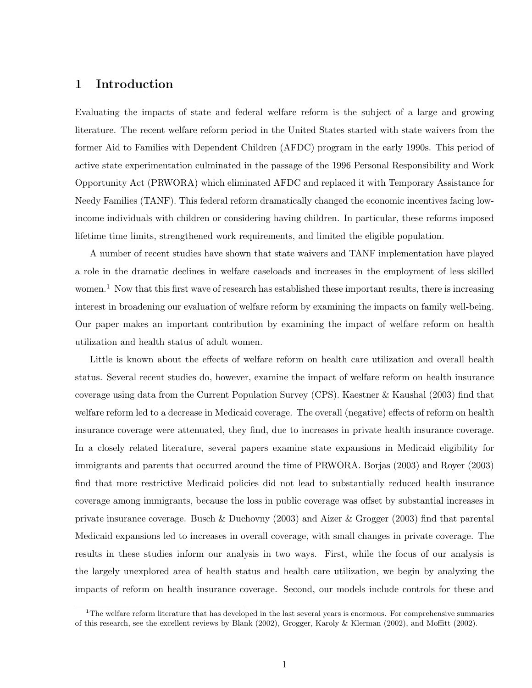# 1 Introduction

Evaluating the impacts of state and federal welfare reform is the subject of a large and growing literature. The recent welfare reform period in the United States started with state waivers from the former Aid to Families with Dependent Children (AFDC) program in the early 1990s. This period of active state experimentation culminated in the passage of the 1996 Personal Responsibility and Work Opportunity Act (PRWORA) which eliminated AFDC and replaced it with Temporary Assistance for Needy Families (TANF). This federal reform dramatically changed the economic incentives facing lowincome individuals with children or considering having children. In particular, these reforms imposed lifetime time limits, strengthened work requirements, and limited the eligible population.

A number of recent studies have shown that state waivers and TANF implementation have played a role in the dramatic declines in welfare caseloads and increases in the employment of less skilled women.<sup>1</sup> Now that this first wave of research has established these important results, there is increasing interest in broadening our evaluation of welfare reform by examining the impacts on family well-being. Our paper makes an important contribution by examining the impact of welfare reform on health utilization and health status of adult women.

Little is known about the effects of welfare reform on health care utilization and overall health status. Several recent studies do, however, examine the impact of welfare reform on health insurance coverage using data from the Current Population Survey (CPS). Kaestner & Kaushal (2003) find that welfare reform led to a decrease in Medicaid coverage. The overall (negative) effects of reform on health insurance coverage were attenuated, they find, due to increases in private health insurance coverage. In a closely related literature, several papers examine state expansions in Medicaid eligibility for immigrants and parents that occurred around the time of PRWORA. Borjas (2003) and Royer (2003) find that more restrictive Medicaid policies did not lead to substantially reduced health insurance coverage among immigrants, because the loss in public coverage was offset by substantial increases in private insurance coverage. Busch & Duchovny (2003) and Aizer & Grogger (2003) find that parental Medicaid expansions led to increases in overall coverage, with small changes in private coverage. The results in these studies inform our analysis in two ways. First, while the focus of our analysis is the largely unexplored area of health status and health care utilization, we begin by analyzing the impacts of reform on health insurance coverage. Second, our models include controls for these and

<sup>&</sup>lt;sup>1</sup>The welfare reform literature that has developed in the last several years is enormous. For comprehensive summaries of this research, see the excellent reviews by Blank (2002), Grogger, Karoly & Klerman (2002), and Moffitt (2002).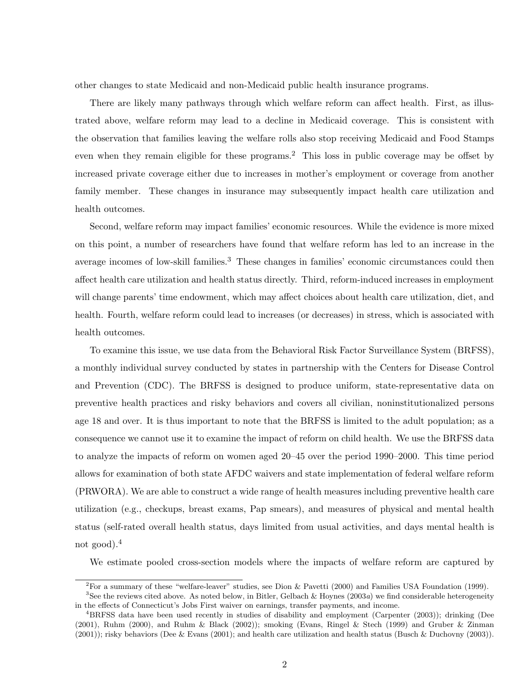other changes to state Medicaid and non-Medicaid public health insurance programs.

There are likely many pathways through which welfare reform can affect health. First, as illustrated above, welfare reform may lead to a decline in Medicaid coverage. This is consistent with the observation that families leaving the welfare rolls also stop receiving Medicaid and Food Stamps even when they remain eligible for these programs.<sup>2</sup> This loss in public coverage may be offset by increased private coverage either due to increases in mother's employment or coverage from another family member. These changes in insurance may subsequently impact health care utilization and health outcomes.

Second, welfare reform may impact families' economic resources. While the evidence is more mixed on this point, a number of researchers have found that welfare reform has led to an increase in the average incomes of low-skill families.<sup>3</sup> These changes in families' economic circumstances could then affect health care utilization and health status directly. Third, reform-induced increases in employment will change parents' time endowment, which may affect choices about health care utilization, diet, and health. Fourth, welfare reform could lead to increases (or decreases) in stress, which is associated with health outcomes.

To examine this issue, we use data from the Behavioral Risk Factor Surveillance System (BRFSS), a monthly individual survey conducted by states in partnership with the Centers for Disease Control and Prevention (CDC). The BRFSS is designed to produce uniform, state-representative data on preventive health practices and risky behaviors and covers all civilian, noninstitutionalized persons age 18 and over. It is thus important to note that the BRFSS is limited to the adult population; as a consequence we cannot use it to examine the impact of reform on child health. We use the BRFSS data to analyze the impacts of reform on women aged 20–45 over the period 1990–2000. This time period allows for examination of both state AFDC waivers and state implementation of federal welfare reform (PRWORA). We are able to construct a wide range of health measures including preventive health care utilization (e.g., checkups, breast exams, Pap smears), and measures of physical and mental health status (self-rated overall health status, days limited from usual activities, and days mental health is not good).<sup>4</sup>

We estimate pooled cross-section models where the impacts of welfare reform are captured by

<sup>2</sup>For a summary of these "welfare-leaver" studies, see Dion & Pavetti (2000) and Families USA Foundation (1999).

<sup>&</sup>lt;sup>3</sup>See the reviews cited above. As noted below, in Bitler, Gelbach & Hoynes (2003a) we find considerable heterogeneity in the effects of Connecticut's Jobs First waiver on earnings, transfer payments, and income.

<sup>4</sup>BRFSS data have been used recently in studies of disability and employment (Carpenter (2003)); drinking (Dee (2001), Ruhm (2000), and Ruhm & Black (2002)); smoking (Evans, Ringel & Stech (1999) and Gruber & Zinman (2001)); risky behaviors (Dee & Evans (2001); and health care utilization and health status (Busch & Duchovny (2003)).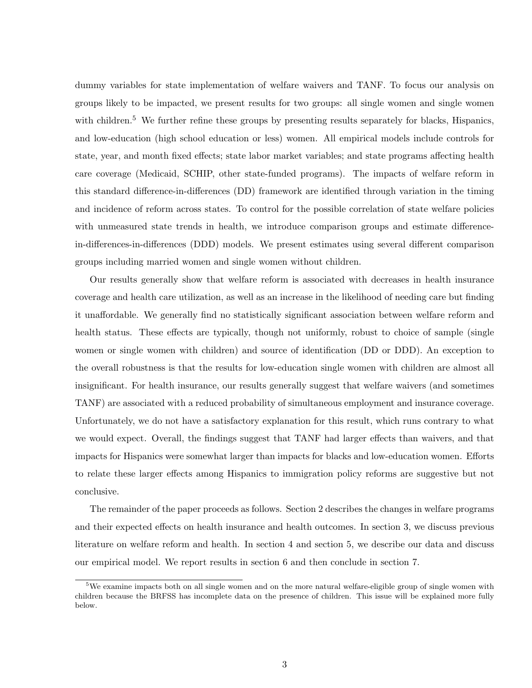dummy variables for state implementation of welfare waivers and TANF. To focus our analysis on groups likely to be impacted, we present results for two groups: all single women and single women with children.<sup>5</sup> We further refine these groups by presenting results separately for blacks, Hispanics, and low-education (high school education or less) women. All empirical models include controls for state, year, and month fixed effects; state labor market variables; and state programs affecting health care coverage (Medicaid, SCHIP, other state-funded programs). The impacts of welfare reform in this standard difference-in-differences (DD) framework are identified through variation in the timing and incidence of reform across states. To control for the possible correlation of state welfare policies with unmeasured state trends in health, we introduce comparison groups and estimate differencein-differences-in-differences (DDD) models. We present estimates using several different comparison groups including married women and single women without children.

Our results generally show that welfare reform is associated with decreases in health insurance coverage and health care utilization, as well as an increase in the likelihood of needing care but finding it unaffordable. We generally find no statistically significant association between welfare reform and health status. These effects are typically, though not uniformly, robust to choice of sample (single women or single women with children) and source of identification (DD or DDD). An exception to the overall robustness is that the results for low-education single women with children are almost all insignificant. For health insurance, our results generally suggest that welfare waivers (and sometimes TANF) are associated with a reduced probability of simultaneous employment and insurance coverage. Unfortunately, we do not have a satisfactory explanation for this result, which runs contrary to what we would expect. Overall, the findings suggest that TANF had larger effects than waivers, and that impacts for Hispanics were somewhat larger than impacts for blacks and low-education women. Efforts to relate these larger effects among Hispanics to immigration policy reforms are suggestive but not conclusive.

The remainder of the paper proceeds as follows. Section 2 describes the changes in welfare programs and their expected effects on health insurance and health outcomes. In section 3, we discuss previous literature on welfare reform and health. In section 4 and section 5, we describe our data and discuss our empirical model. We report results in section 6 and then conclude in section 7.

<sup>5</sup>We examine impacts both on all single women and on the more natural welfare-eligible group of single women with children because the BRFSS has incomplete data on the presence of children. This issue will be explained more fully below.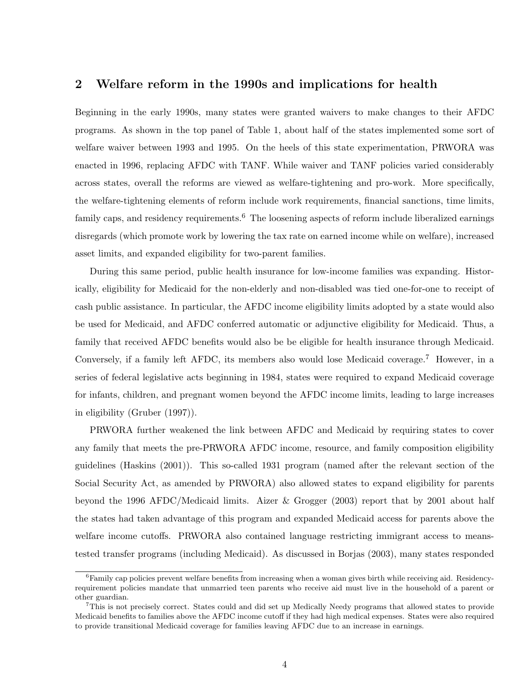## 2 Welfare reform in the 1990s and implications for health

Beginning in the early 1990s, many states were granted waivers to make changes to their AFDC programs. As shown in the top panel of Table 1, about half of the states implemented some sort of welfare waiver between 1993 and 1995. On the heels of this state experimentation, PRWORA was enacted in 1996, replacing AFDC with TANF. While waiver and TANF policies varied considerably across states, overall the reforms are viewed as welfare-tightening and pro-work. More specifically, the welfare-tightening elements of reform include work requirements, financial sanctions, time limits, family caps, and residency requirements.<sup>6</sup> The loosening aspects of reform include liberalized earnings disregards (which promote work by lowering the tax rate on earned income while on welfare), increased asset limits, and expanded eligibility for two-parent families.

During this same period, public health insurance for low-income families was expanding. Historically, eligibility for Medicaid for the non-elderly and non-disabled was tied one-for-one to receipt of cash public assistance. In particular, the AFDC income eligibility limits adopted by a state would also be used for Medicaid, and AFDC conferred automatic or adjunctive eligibility for Medicaid. Thus, a family that received AFDC benefits would also be be eligible for health insurance through Medicaid. Conversely, if a family left AFDC, its members also would lose Medicaid coverage.<sup>7</sup> However, in a series of federal legislative acts beginning in 1984, states were required to expand Medicaid coverage for infants, children, and pregnant women beyond the AFDC income limits, leading to large increases in eligibility (Gruber (1997)).

PRWORA further weakened the link between AFDC and Medicaid by requiring states to cover any family that meets the pre-PRWORA AFDC income, resource, and family composition eligibility guidelines (Haskins (2001)). This so-called 1931 program (named after the relevant section of the Social Security Act, as amended by PRWORA) also allowed states to expand eligibility for parents beyond the 1996 AFDC/Medicaid limits. Aizer & Grogger (2003) report that by 2001 about half the states had taken advantage of this program and expanded Medicaid access for parents above the welfare income cutoffs. PRWORA also contained language restricting immigrant access to meanstested transfer programs (including Medicaid). As discussed in Borjas (2003), many states responded

 ${}^{6}$ Family cap policies prevent welfare benefits from increasing when a woman gives birth while receiving aid. Residencyrequirement policies mandate that unmarried teen parents who receive aid must live in the household of a parent or other guardian.

<sup>7</sup>This is not precisely correct. States could and did set up Medically Needy programs that allowed states to provide Medicaid benefits to families above the AFDC income cutoff if they had high medical expenses. States were also required to provide transitional Medicaid coverage for families leaving AFDC due to an increase in earnings.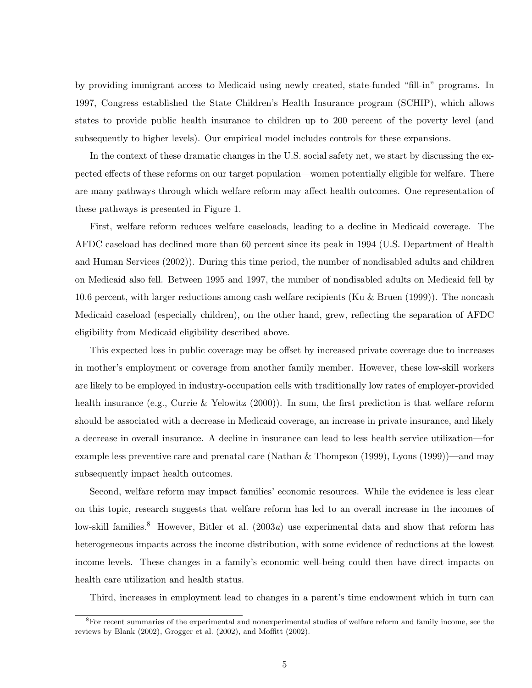by providing immigrant access to Medicaid using newly created, state-funded "fill-in" programs. In 1997, Congress established the State Children's Health Insurance program (SCHIP), which allows states to provide public health insurance to children up to 200 percent of the poverty level (and subsequently to higher levels). Our empirical model includes controls for these expansions.

In the context of these dramatic changes in the U.S. social safety net, we start by discussing the expected effects of these reforms on our target population—women potentially eligible for welfare. There are many pathways through which welfare reform may affect health outcomes. One representation of these pathways is presented in Figure 1.

First, welfare reform reduces welfare caseloads, leading to a decline in Medicaid coverage. The AFDC caseload has declined more than 60 percent since its peak in 1994 (U.S. Department of Health and Human Services (2002)). During this time period, the number of nondisabled adults and children on Medicaid also fell. Between 1995 and 1997, the number of nondisabled adults on Medicaid fell by 10.6 percent, with larger reductions among cash welfare recipients (Ku & Bruen (1999)). The noncash Medicaid caseload (especially children), on the other hand, grew, reflecting the separation of AFDC eligibility from Medicaid eligibility described above.

This expected loss in public coverage may be offset by increased private coverage due to increases in mother's employment or coverage from another family member. However, these low-skill workers are likely to be employed in industry-occupation cells with traditionally low rates of employer-provided health insurance (e.g., Currie & Yelowitz (2000)). In sum, the first prediction is that welfare reform should be associated with a decrease in Medicaid coverage, an increase in private insurance, and likely a decrease in overall insurance. A decline in insurance can lead to less health service utilization—for example less preventive care and prenatal care (Nathan & Thompson (1999), Lyons (1999))—and may subsequently impact health outcomes.

Second, welfare reform may impact families' economic resources. While the evidence is less clear on this topic, research suggests that welfare reform has led to an overall increase in the incomes of low-skill families.<sup>8</sup> However, Bitler et al.  $(2003a)$  use experimental data and show that reform has heterogeneous impacts across the income distribution, with some evidence of reductions at the lowest income levels. These changes in a family's economic well-being could then have direct impacts on health care utilization and health status.

Third, increases in employment lead to changes in a parent's time endowment which in turn can

<sup>&</sup>lt;sup>8</sup>For recent summaries of the experimental and nonexperimental studies of welfare reform and family income, see the reviews by Blank (2002), Grogger et al. (2002), and Moffitt (2002).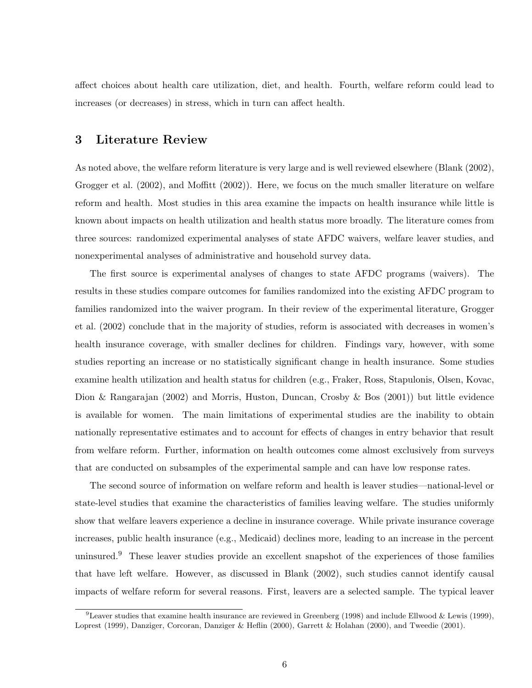affect choices about health care utilization, diet, and health. Fourth, welfare reform could lead to increases (or decreases) in stress, which in turn can affect health.

# 3 Literature Review

As noted above, the welfare reform literature is very large and is well reviewed elsewhere (Blank (2002), Grogger et al. (2002), and Moffitt (2002)). Here, we focus on the much smaller literature on welfare reform and health. Most studies in this area examine the impacts on health insurance while little is known about impacts on health utilization and health status more broadly. The literature comes from three sources: randomized experimental analyses of state AFDC waivers, welfare leaver studies, and nonexperimental analyses of administrative and household survey data.

The first source is experimental analyses of changes to state AFDC programs (waivers). The results in these studies compare outcomes for families randomized into the existing AFDC program to families randomized into the waiver program. In their review of the experimental literature, Grogger et al. (2002) conclude that in the majority of studies, reform is associated with decreases in women's health insurance coverage, with smaller declines for children. Findings vary, however, with some studies reporting an increase or no statistically significant change in health insurance. Some studies examine health utilization and health status for children (e.g., Fraker, Ross, Stapulonis, Olsen, Kovac, Dion & Rangarajan (2002) and Morris, Huston, Duncan, Crosby & Bos (2001)) but little evidence is available for women. The main limitations of experimental studies are the inability to obtain nationally representative estimates and to account for effects of changes in entry behavior that result from welfare reform. Further, information on health outcomes come almost exclusively from surveys that are conducted on subsamples of the experimental sample and can have low response rates.

The second source of information on welfare reform and health is leaver studies—national-level or state-level studies that examine the characteristics of families leaving welfare. The studies uniformly show that welfare leavers experience a decline in insurance coverage. While private insurance coverage increases, public health insurance (e.g., Medicaid) declines more, leading to an increase in the percent uninsured.<sup>9</sup> These leaver studies provide an excellent snapshot of the experiences of those families that have left welfare. However, as discussed in Blank (2002), such studies cannot identify causal impacts of welfare reform for several reasons. First, leavers are a selected sample. The typical leaver

<sup>&</sup>lt;sup>9</sup>Leaver studies that examine health insurance are reviewed in Greenberg (1998) and include Ellwood & Lewis (1999), Loprest (1999), Danziger, Corcoran, Danziger & Heflin (2000), Garrett & Holahan (2000), and Tweedie (2001).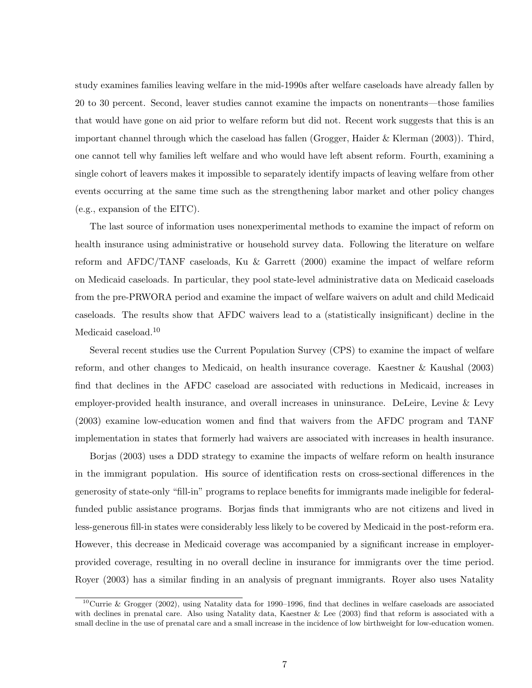study examines families leaving welfare in the mid-1990s after welfare caseloads have already fallen by 20 to 30 percent. Second, leaver studies cannot examine the impacts on nonentrants—those families that would have gone on aid prior to welfare reform but did not. Recent work suggests that this is an important channel through which the caseload has fallen (Grogger, Haider & Klerman (2003)). Third, one cannot tell why families left welfare and who would have left absent reform. Fourth, examining a single cohort of leavers makes it impossible to separately identify impacts of leaving welfare from other events occurring at the same time such as the strengthening labor market and other policy changes (e.g., expansion of the EITC).

The last source of information uses nonexperimental methods to examine the impact of reform on health insurance using administrative or household survey data. Following the literature on welfare reform and AFDC/TANF caseloads, Ku & Garrett (2000) examine the impact of welfare reform on Medicaid caseloads. In particular, they pool state-level administrative data on Medicaid caseloads from the pre-PRWORA period and examine the impact of welfare waivers on adult and child Medicaid caseloads. The results show that AFDC waivers lead to a (statistically insignificant) decline in the Medicaid caseload.<sup>10</sup>

Several recent studies use the Current Population Survey (CPS) to examine the impact of welfare reform, and other changes to Medicaid, on health insurance coverage. Kaestner & Kaushal (2003) find that declines in the AFDC caseload are associated with reductions in Medicaid, increases in employer-provided health insurance, and overall increases in uninsurance. DeLeire, Levine & Levy (2003) examine low-education women and find that waivers from the AFDC program and TANF implementation in states that formerly had waivers are associated with increases in health insurance.

Borjas (2003) uses a DDD strategy to examine the impacts of welfare reform on health insurance in the immigrant population. His source of identification rests on cross-sectional differences in the generosity of state-only "fill-in" programs to replace benefits for immigrants made ineligible for federalfunded public assistance programs. Borjas finds that immigrants who are not citizens and lived in less-generous fill-in states were considerably less likely to be covered by Medicaid in the post-reform era. However, this decrease in Medicaid coverage was accompanied by a significant increase in employerprovided coverage, resulting in no overall decline in insurance for immigrants over the time period. Royer (2003) has a similar finding in an analysis of pregnant immigrants. Royer also uses Natality

<sup>&</sup>lt;sup>10</sup>Currie & Grogger (2002), using Natality data for 1990–1996, find that declines in welfare caseloads are associated with declines in prenatal care. Also using Natality data, Kaestner & Lee (2003) find that reform is associated with a small decline in the use of prenatal care and a small increase in the incidence of low birthweight for low-education women.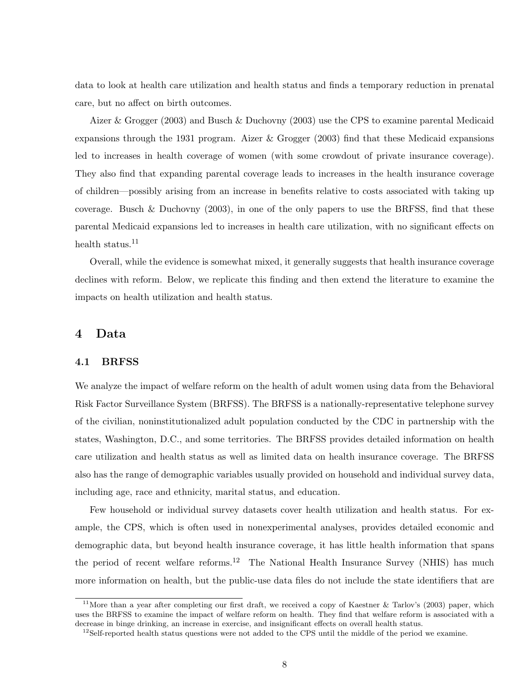data to look at health care utilization and health status and finds a temporary reduction in prenatal care, but no affect on birth outcomes.

Aizer & Grogger (2003) and Busch & Duchovny (2003) use the CPS to examine parental Medicaid expansions through the 1931 program. Aizer & Grogger (2003) find that these Medicaid expansions led to increases in health coverage of women (with some crowdout of private insurance coverage). They also find that expanding parental coverage leads to increases in the health insurance coverage of children—possibly arising from an increase in benefits relative to costs associated with taking up coverage. Busch & Duchovny  $(2003)$ , in one of the only papers to use the BRFSS, find that these parental Medicaid expansions led to increases in health care utilization, with no significant effects on health status.<sup>11</sup>

Overall, while the evidence is somewhat mixed, it generally suggests that health insurance coverage declines with reform. Below, we replicate this finding and then extend the literature to examine the impacts on health utilization and health status.

# 4 Data

#### 4.1 BRFSS

We analyze the impact of welfare reform on the health of adult women using data from the Behavioral Risk Factor Surveillance System (BRFSS). The BRFSS is a nationally-representative telephone survey of the civilian, noninstitutionalized adult population conducted by the CDC in partnership with the states, Washington, D.C., and some territories. The BRFSS provides detailed information on health care utilization and health status as well as limited data on health insurance coverage. The BRFSS also has the range of demographic variables usually provided on household and individual survey data, including age, race and ethnicity, marital status, and education.

Few household or individual survey datasets cover health utilization and health status. For example, the CPS, which is often used in nonexperimental analyses, provides detailed economic and demographic data, but beyond health insurance coverage, it has little health information that spans the period of recent welfare reforms.<sup>12</sup> The National Health Insurance Survey (NHIS) has much more information on health, but the public-use data files do not include the state identifiers that are

<sup>&</sup>lt;sup>11</sup>More than a year after completing our first draft, we received a copy of Kaestner  $\&$  Tarlov's (2003) paper, which uses the BRFSS to examine the impact of welfare reform on health. They find that welfare reform is associated with a decrease in binge drinking, an increase in exercise, and insignificant effects on overall health status.

 $12$ Self-reported health status questions were not added to the CPS until the middle of the period we examine.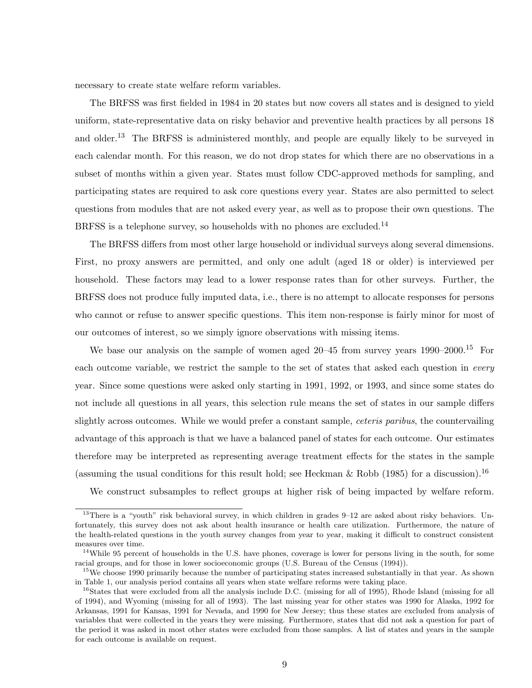necessary to create state welfare reform variables.

The BRFSS was first fielded in 1984 in 20 states but now covers all states and is designed to yield uniform, state-representative data on risky behavior and preventive health practices by all persons 18 and older.<sup>13</sup> The BRFSS is administered monthly, and people are equally likely to be surveyed in each calendar month. For this reason, we do not drop states for which there are no observations in a subset of months within a given year. States must follow CDC-approved methods for sampling, and participating states are required to ask core questions every year. States are also permitted to select questions from modules that are not asked every year, as well as to propose their own questions. The BRFSS is a telephone survey, so households with no phones are excluded.<sup>14</sup>

The BRFSS differs from most other large household or individual surveys along several dimensions. First, no proxy answers are permitted, and only one adult (aged 18 or older) is interviewed per household. These factors may lead to a lower response rates than for other surveys. Further, the BRFSS does not produce fully imputed data, i.e., there is no attempt to allocate responses for persons who cannot or refuse to answer specific questions. This item non-response is fairly minor for most of our outcomes of interest, so we simply ignore observations with missing items.

We base our analysis on the sample of women aged  $20-45$  from survey years  $1990-2000$ .<sup>15</sup> For each outcome variable, we restrict the sample to the set of states that asked each question in every year. Since some questions were asked only starting in 1991, 1992, or 1993, and since some states do not include all questions in all years, this selection rule means the set of states in our sample differs slightly across outcomes. While we would prefer a constant sample, *ceteris paribus*, the countervailing advantage of this approach is that we have a balanced panel of states for each outcome. Our estimates therefore may be interpreted as representing average treatment effects for the states in the sample (assuming the usual conditions for this result hold; see Heckman & Robb (1985) for a discussion).<sup>16</sup>

We construct subsamples to reflect groups at higher risk of being impacted by welfare reform.

 $13$ There is a "youth" risk behavioral survey, in which children in grades 9–12 are asked about risky behaviors. Unfortunately, this survey does not ask about health insurance or health care utilization. Furthermore, the nature of the health-related questions in the youth survey changes from year to year, making it difficult to construct consistent measures over time.

<sup>&</sup>lt;sup>14</sup>While 95 percent of households in the U.S. have phones, coverage is lower for persons living in the south, for some racial groups, and for those in lower socioeconomic groups (U.S. Bureau of the Census (1994)).

<sup>&</sup>lt;sup>15</sup>We choose 1990 primarily because the number of participating states increased substantially in that year. As shown in Table 1, our analysis period contains all years when state welfare reforms were taking place.

<sup>&</sup>lt;sup>16</sup>States that were excluded from all the analysis include D.C. (missing for all of 1995), Rhode Island (missing for all of 1994), and Wyoming (missing for all of 1993). The last missing year for other states was 1990 for Alaska, 1992 for Arkansas, 1991 for Kansas, 1991 for Nevada, and 1990 for New Jersey; thus these states are excluded from analysis of variables that were collected in the years they were missing. Furthermore, states that did not ask a question for part of the period it was asked in most other states were excluded from those samples. A list of states and years in the sample for each outcome is available on request.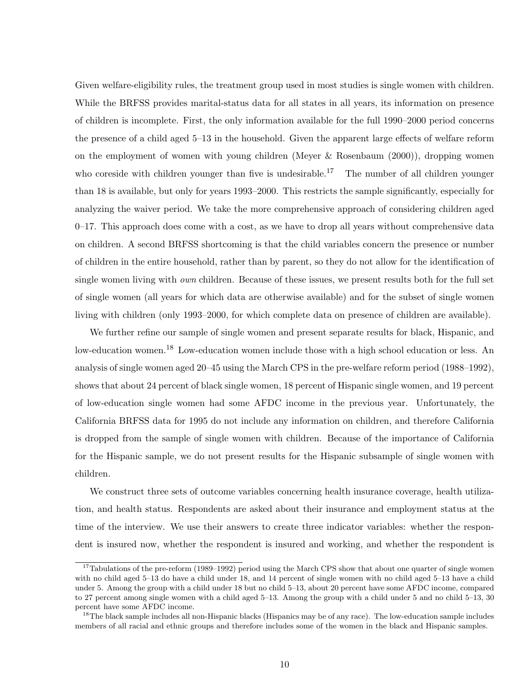Given welfare-eligibility rules, the treatment group used in most studies is single women with children. While the BRFSS provides marital-status data for all states in all years, its information on presence of children is incomplete. First, the only information available for the full 1990–2000 period concerns the presence of a child aged 5–13 in the household. Given the apparent large effects of welfare reform on the employment of women with young children (Meyer & Rosenbaum (2000)), dropping women who coreside with children younger than five is undesirable.<sup>17</sup> The number of all children younger than 18 is available, but only for years 1993–2000. This restricts the sample significantly, especially for analyzing the waiver period. We take the more comprehensive approach of considering children aged  $0-17$ . This approach does come with a cost, as we have to drop all years without comprehensive data on children. A second BRFSS shortcoming is that the child variables concern the presence or number of children in the entire household, rather than by parent, so they do not allow for the identification of single women living with own children. Because of these issues, we present results both for the full set of single women (all years for which data are otherwise available) and for the subset of single women living with children (only 1993–2000, for which complete data on presence of children are available).

We further refine our sample of single women and present separate results for black, Hispanic, and low-education women.<sup>18</sup> Low-education women include those with a high school education or less. An analysis of single women aged 20–45 using the March CPS in the pre-welfare reform period (1988–1992), shows that about 24 percent of black single women, 18 percent of Hispanic single women, and 19 percent of low-education single women had some AFDC income in the previous year. Unfortunately, the California BRFSS data for 1995 do not include any information on children, and therefore California is dropped from the sample of single women with children. Because of the importance of California for the Hispanic sample, we do not present results for the Hispanic subsample of single women with children.

We construct three sets of outcome variables concerning health insurance coverage, health utilization, and health status. Respondents are asked about their insurance and employment status at the time of the interview. We use their answers to create three indicator variables: whether the respondent is insured now, whether the respondent is insured and working, and whether the respondent is

<sup>&</sup>lt;sup>17</sup>Tabulations of the pre-reform (1989–1992) period using the March CPS show that about one quarter of single women with no child aged 5–13 do have a child under 18, and 14 percent of single women with no child aged 5–13 have a child under 5. Among the group with a child under 18 but no child 5–13, about 20 percent have some AFDC income, compared to 27 percent among single women with a child aged 5–13. Among the group with a child under 5 and no child 5–13, 30 percent have some AFDC income.

<sup>&</sup>lt;sup>18</sup>The black sample includes all non-Hispanic blacks (Hispanics may be of any race). The low-education sample includes members of all racial and ethnic groups and therefore includes some of the women in the black and Hispanic samples.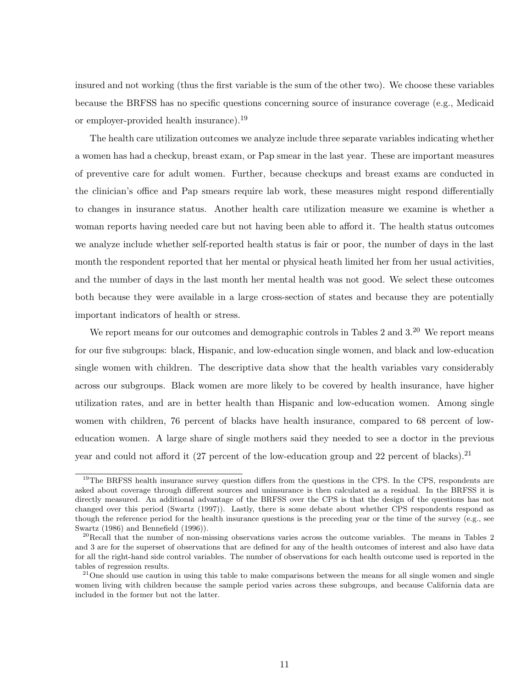insured and not working (thus the first variable is the sum of the other two). We choose these variables because the BRFSS has no specific questions concerning source of insurance coverage (e.g., Medicaid or employer-provided health insurance).<sup>19</sup>

The health care utilization outcomes we analyze include three separate variables indicating whether a women has had a checkup, breast exam, or Pap smear in the last year. These are important measures of preventive care for adult women. Further, because checkups and breast exams are conducted in the clinician's office and Pap smears require lab work, these measures might respond differentially to changes in insurance status. Another health care utilization measure we examine is whether a woman reports having needed care but not having been able to afford it. The health status outcomes we analyze include whether self-reported health status is fair or poor, the number of days in the last month the respondent reported that her mental or physical heath limited her from her usual activities, and the number of days in the last month her mental health was not good. We select these outcomes both because they were available in a large cross-section of states and because they are potentially important indicators of health or stress.

We report means for our outcomes and demographic controls in Tables 2 and  $3<sup>20</sup>$  We report means for our five subgroups: black, Hispanic, and low-education single women, and black and low-education single women with children. The descriptive data show that the health variables vary considerably across our subgroups. Black women are more likely to be covered by health insurance, have higher utilization rates, and are in better health than Hispanic and low-education women. Among single women with children, 76 percent of blacks have health insurance, compared to 68 percent of loweducation women. A large share of single mothers said they needed to see a doctor in the previous year and could not afford it (27 percent of the low-education group and 22 percent of blacks).<sup>21</sup>

<sup>&</sup>lt;sup>19</sup>The BRFSS health insurance survey question differs from the questions in the CPS. In the CPS, respondents are asked about coverage through different sources and uninsurance is then calculated as a residual. In the BRFSS it is directly measured. An additional advantage of the BRFSS over the CPS is that the design of the questions has not changed over this period (Swartz (1997)). Lastly, there is some debate about whether CPS respondents respond as though the reference period for the health insurance questions is the preceding year or the time of the survey (e.g., see Swartz (1986) and Bennefield (1996)).

 $^{20}$ Recall that the number of non-missing observations varies across the outcome variables. The means in Tables 2 and 3 are for the superset of observations that are defined for any of the health outcomes of interest and also have data for all the right-hand side control variables. The number of observations for each health outcome used is reported in the tables of regression results.

 $21$ One should use caution in using this table to make comparisons between the means for all single women and single women living with children because the sample period varies across these subgroups, and because California data are included in the former but not the latter.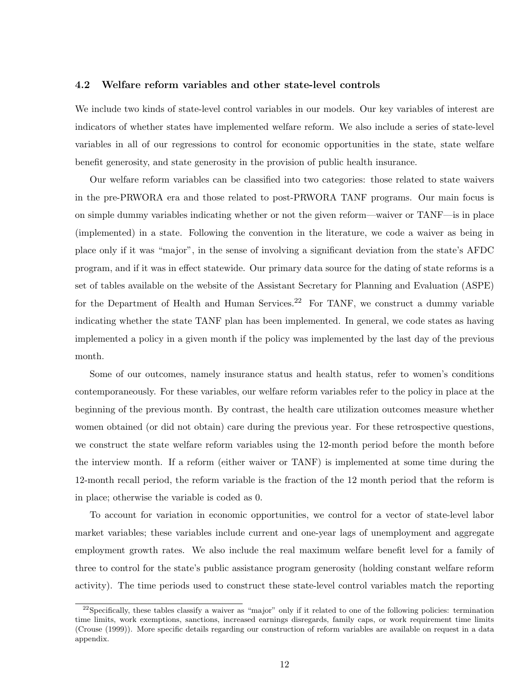#### 4.2 Welfare reform variables and other state-level controls

We include two kinds of state-level control variables in our models. Our key variables of interest are indicators of whether states have implemented welfare reform. We also include a series of state-level variables in all of our regressions to control for economic opportunities in the state, state welfare benefit generosity, and state generosity in the provision of public health insurance.

Our welfare reform variables can be classified into two categories: those related to state waivers in the pre-PRWORA era and those related to post-PRWORA TANF programs. Our main focus is on simple dummy variables indicating whether or not the given reform—waiver or TANF—is in place (implemented) in a state. Following the convention in the literature, we code a waiver as being in place only if it was "major", in the sense of involving a significant deviation from the state's AFDC program, and if it was in effect statewide. Our primary data source for the dating of state reforms is a set of tables available on the website of the Assistant Secretary for Planning and Evaluation (ASPE) for the Department of Health and Human Services.<sup>22</sup> For TANF, we construct a dummy variable indicating whether the state TANF plan has been implemented. In general, we code states as having implemented a policy in a given month if the policy was implemented by the last day of the previous month.

Some of our outcomes, namely insurance status and health status, refer to women's conditions contemporaneously. For these variables, our welfare reform variables refer to the policy in place at the beginning of the previous month. By contrast, the health care utilization outcomes measure whether women obtained (or did not obtain) care during the previous year. For these retrospective questions, we construct the state welfare reform variables using the 12-month period before the month before the interview month. If a reform (either waiver or TANF) is implemented at some time during the 12-month recall period, the reform variable is the fraction of the 12 month period that the reform is in place; otherwise the variable is coded as 0.

To account for variation in economic opportunities, we control for a vector of state-level labor market variables; these variables include current and one-year lags of unemployment and aggregate employment growth rates. We also include the real maximum welfare benefit level for a family of three to control for the state's public assistance program generosity (holding constant welfare reform activity). The time periods used to construct these state-level control variables match the reporting

<sup>&</sup>lt;sup>22</sup>Specifically, these tables classify a waiver as "major" only if it related to one of the following policies: termination time limits, work exemptions, sanctions, increased earnings disregards, family caps, or work requirement time limits (Crouse (1999)). More specific details regarding our construction of reform variables are available on request in a data appendix.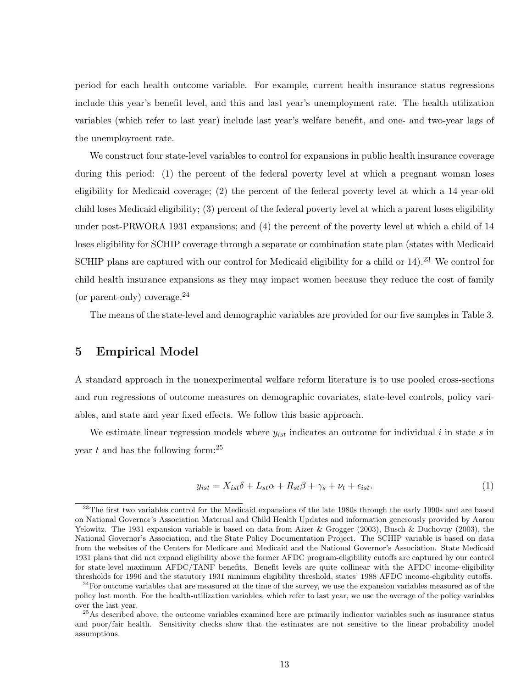period for each health outcome variable. For example, current health insurance status regressions include this year's benefit level, and this and last year's unemployment rate. The health utilization variables (which refer to last year) include last year's welfare benefit, and one- and two-year lags of the unemployment rate.

We construct four state-level variables to control for expansions in public health insurance coverage during this period: (1) the percent of the federal poverty level at which a pregnant woman loses eligibility for Medicaid coverage; (2) the percent of the federal poverty level at which a 14-year-old child loses Medicaid eligibility; (3) percent of the federal poverty level at which a parent loses eligibility under post-PRWORA 1931 expansions; and (4) the percent of the poverty level at which a child of 14 loses eligibility for SCHIP coverage through a separate or combination state plan (states with Medicaid SCHIP plans are captured with our control for Medicaid eligibility for a child or 14).<sup>23</sup> We control for child health insurance expansions as they may impact women because they reduce the cost of family (or parent-only) coverage.  $24$ 

The means of the state-level and demographic variables are provided for our five samples in Table 3.

#### 5 Empirical Model

A standard approach in the nonexperimental welfare reform literature is to use pooled cross-sections and run regressions of outcome measures on demographic covariates, state-level controls, policy variables, and state and year fixed effects. We follow this basic approach.

We estimate linear regression models where  $y_{ist}$  indicates an outcome for individual i in state s in year t and has the following form: $^{25}$ 

$$
y_{ist} = X_{ist}\delta + L_{st}\alpha + R_{st}\beta + \gamma_s + \nu_t + \epsilon_{ist}.\tag{1}
$$

 $^{23}$ The first two variables control for the Medicaid expansions of the late 1980s through the early 1990s and are based on National Governor's Association Maternal and Child Health Updates and information generously provided by Aaron Yelowitz. The 1931 expansion variable is based on data from Aizer & Grogger (2003), Busch & Duchovny (2003), the National Governor's Association, and the State Policy Documentation Project. The SCHIP variable is based on data from the websites of the Centers for Medicare and Medicaid and the National Governor's Association. State Medicaid 1931 plans that did not expand eligibility above the former AFDC program-eligibility cutoffs are captured by our control for state-level maximum AFDC/TANF benefits. Benefit levels are quite collinear with the AFDC income-eligibility thresholds for 1996 and the statutory 1931 minimum eligibility threshold, states' 1988 AFDC income-eligibility cutoffs.

 $24$ For outcome variables that are measured at the time of the survey, we use the expansion variables measured as of the policy last month. For the health-utilization variables, which refer to last year, we use the average of the policy variables over the last year.

<sup>&</sup>lt;sup>25</sup>As described above, the outcome variables examined here are primarily indicator variables such as insurance status and poor/fair health. Sensitivity checks show that the estimates are not sensitive to the linear probability model assumptions.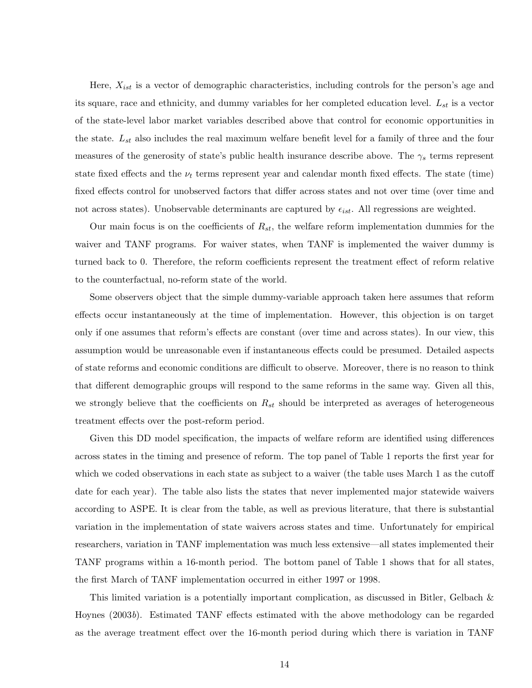Here,  $X_{ist}$  is a vector of demographic characteristics, including controls for the person's age and its square, race and ethnicity, and dummy variables for her completed education level.  $L_{st}$  is a vector of the state-level labor market variables described above that control for economic opportunities in the state.  $L_{st}$  also includes the real maximum welfare benefit level for a family of three and the four measures of the generosity of state's public health insurance describe above. The  $\gamma_s$  terms represent state fixed effects and the  $\nu_t$  terms represent year and calendar month fixed effects. The state (time) fixed effects control for unobserved factors that differ across states and not over time (over time and not across states). Unobservable determinants are captured by  $\epsilon_{ist}$ . All regressions are weighted.

Our main focus is on the coefficients of  $R_{st}$ , the welfare reform implementation dummies for the waiver and TANF programs. For waiver states, when TANF is implemented the waiver dummy is turned back to 0. Therefore, the reform coefficients represent the treatment effect of reform relative to the counterfactual, no-reform state of the world.

Some observers object that the simple dummy-variable approach taken here assumes that reform effects occur instantaneously at the time of implementation. However, this objection is on target only if one assumes that reform's effects are constant (over time and across states). In our view, this assumption would be unreasonable even if instantaneous effects could be presumed. Detailed aspects of state reforms and economic conditions are difficult to observe. Moreover, there is no reason to think that different demographic groups will respond to the same reforms in the same way. Given all this, we strongly believe that the coefficients on  $R_{st}$  should be interpreted as averages of heterogeneous treatment effects over the post-reform period.

Given this DD model specification, the impacts of welfare reform are identified using differences across states in the timing and presence of reform. The top panel of Table 1 reports the first year for which we coded observations in each state as subject to a waiver (the table uses March 1 as the cutoff date for each year). The table also lists the states that never implemented major statewide waivers according to ASPE. It is clear from the table, as well as previous literature, that there is substantial variation in the implementation of state waivers across states and time. Unfortunately for empirical researchers, variation in TANF implementation was much less extensive—all states implemented their TANF programs within a 16-month period. The bottom panel of Table 1 shows that for all states, the first March of TANF implementation occurred in either 1997 or 1998.

This limited variation is a potentially important complication, as discussed in Bitler, Gelbach & Hoynes (2003b). Estimated TANF effects estimated with the above methodology can be regarded as the average treatment effect over the 16-month period during which there is variation in TANF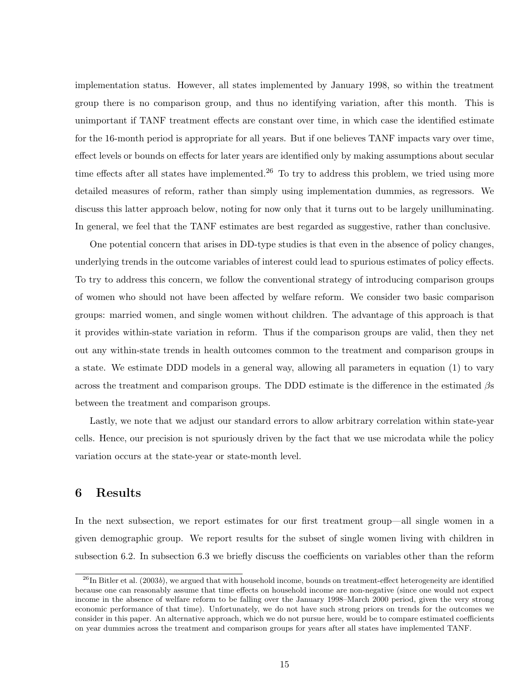implementation status. However, all states implemented by January 1998, so within the treatment group there is no comparison group, and thus no identifying variation, after this month. This is unimportant if TANF treatment effects are constant over time, in which case the identified estimate for the 16-month period is appropriate for all years. But if one believes TANF impacts vary over time, effect levels or bounds on effects for later years are identified only by making assumptions about secular time effects after all states have implemented.<sup>26</sup> To try to address this problem, we tried using more detailed measures of reform, rather than simply using implementation dummies, as regressors. We discuss this latter approach below, noting for now only that it turns out to be largely unilluminating. In general, we feel that the TANF estimates are best regarded as suggestive, rather than conclusive.

One potential concern that arises in DD-type studies is that even in the absence of policy changes, underlying trends in the outcome variables of interest could lead to spurious estimates of policy effects. To try to address this concern, we follow the conventional strategy of introducing comparison groups of women who should not have been affected by welfare reform. We consider two basic comparison groups: married women, and single women without children. The advantage of this approach is that it provides within-state variation in reform. Thus if the comparison groups are valid, then they net out any within-state trends in health outcomes common to the treatment and comparison groups in a state. We estimate DDD models in a general way, allowing all parameters in equation (1) to vary across the treatment and comparison groups. The DDD estimate is the difference in the estimated  $\beta s$ between the treatment and comparison groups.

Lastly, we note that we adjust our standard errors to allow arbitrary correlation within state-year cells. Hence, our precision is not spuriously driven by the fact that we use microdata while the policy variation occurs at the state-year or state-month level.

# 6 Results

In the next subsection, we report estimates for our first treatment group—all single women in a given demographic group. We report results for the subset of single women living with children in subsection 6.2. In subsection 6.3 we briefly discuss the coefficients on variables other than the reform

 $^{26}$ In Bitler et al. (2003b), we argued that with household income, bounds on treatment-effect heterogeneity are identified because one can reasonably assume that time effects on household income are non-negative (since one would not expect income in the absence of welfare reform to be falling over the January 1998–March 2000 period, given the very strong economic performance of that time). Unfortunately, we do not have such strong priors on trends for the outcomes we consider in this paper. An alternative approach, which we do not pursue here, would be to compare estimated coefficients on year dummies across the treatment and comparison groups for years after all states have implemented TANF.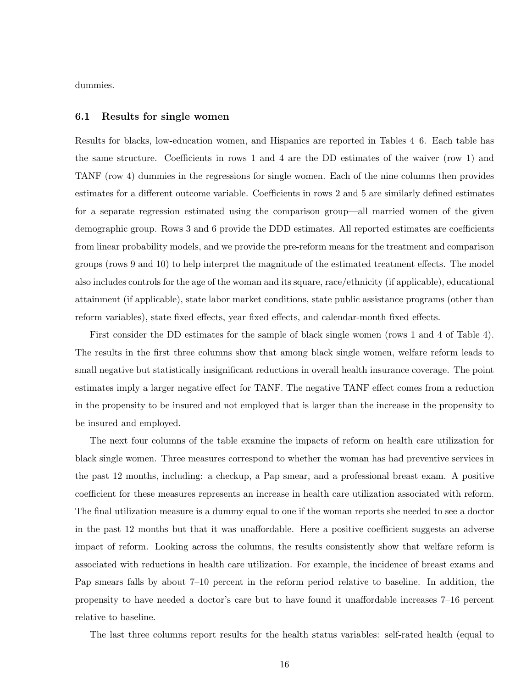dummies.

#### 6.1 Results for single women

Results for blacks, low-education women, and Hispanics are reported in Tables 4–6. Each table has the same structure. Coefficients in rows 1 and 4 are the DD estimates of the waiver (row 1) and TANF (row 4) dummies in the regressions for single women. Each of the nine columns then provides estimates for a different outcome variable. Coefficients in rows 2 and 5 are similarly defined estimates for a separate regression estimated using the comparison group—all married women of the given demographic group. Rows 3 and 6 provide the DDD estimates. All reported estimates are coefficients from linear probability models, and we provide the pre-reform means for the treatment and comparison groups (rows 9 and 10) to help interpret the magnitude of the estimated treatment effects. The model also includes controls for the age of the woman and its square, race/ethnicity (if applicable), educational attainment (if applicable), state labor market conditions, state public assistance programs (other than reform variables), state fixed effects, year fixed effects, and calendar-month fixed effects.

First consider the DD estimates for the sample of black single women (rows 1 and 4 of Table 4). The results in the first three columns show that among black single women, welfare reform leads to small negative but statistically insignificant reductions in overall health insurance coverage. The point estimates imply a larger negative effect for TANF. The negative TANF effect comes from a reduction in the propensity to be insured and not employed that is larger than the increase in the propensity to be insured and employed.

The next four columns of the table examine the impacts of reform on health care utilization for black single women. Three measures correspond to whether the woman has had preventive services in the past 12 months, including: a checkup, a Pap smear, and a professional breast exam. A positive coefficient for these measures represents an increase in health care utilization associated with reform. The final utilization measure is a dummy equal to one if the woman reports she needed to see a doctor in the past 12 months but that it was unaffordable. Here a positive coefficient suggests an adverse impact of reform. Looking across the columns, the results consistently show that welfare reform is associated with reductions in health care utilization. For example, the incidence of breast exams and Pap smears falls by about 7–10 percent in the reform period relative to baseline. In addition, the propensity to have needed a doctor's care but to have found it unaffordable increases 7–16 percent relative to baseline.

The last three columns report results for the health status variables: self-rated health (equal to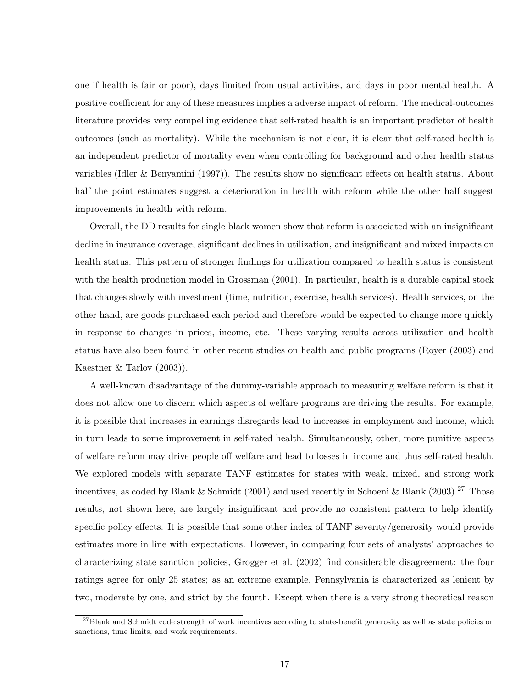one if health is fair or poor), days limited from usual activities, and days in poor mental health. A positive coefficient for any of these measures implies a adverse impact of reform. The medical-outcomes literature provides very compelling evidence that self-rated health is an important predictor of health outcomes (such as mortality). While the mechanism is not clear, it is clear that self-rated health is an independent predictor of mortality even when controlling for background and other health status variables (Idler & Benyamini (1997)). The results show no significant effects on health status. About half the point estimates suggest a deterioration in health with reform while the other half suggest improvements in health with reform.

Overall, the DD results for single black women show that reform is associated with an insignificant decline in insurance coverage, significant declines in utilization, and insignificant and mixed impacts on health status. This pattern of stronger findings for utilization compared to health status is consistent with the health production model in Grossman  $(2001)$ . In particular, health is a durable capital stock that changes slowly with investment (time, nutrition, exercise, health services). Health services, on the other hand, are goods purchased each period and therefore would be expected to change more quickly in response to changes in prices, income, etc. These varying results across utilization and health status have also been found in other recent studies on health and public programs (Royer (2003) and Kaestner & Tarlov (2003)).

A well-known disadvantage of the dummy-variable approach to measuring welfare reform is that it does not allow one to discern which aspects of welfare programs are driving the results. For example, it is possible that increases in earnings disregards lead to increases in employment and income, which in turn leads to some improvement in self-rated health. Simultaneously, other, more punitive aspects of welfare reform may drive people off welfare and lead to losses in income and thus self-rated health. We explored models with separate TANF estimates for states with weak, mixed, and strong work incentives, as coded by Blank & Schmidt (2001) and used recently in Schoeni & Blank (2003).<sup>27</sup> Those results, not shown here, are largely insignificant and provide no consistent pattern to help identify specific policy effects. It is possible that some other index of TANF severity/generosity would provide estimates more in line with expectations. However, in comparing four sets of analysts' approaches to characterizing state sanction policies, Grogger et al. (2002) find considerable disagreement: the four ratings agree for only 25 states; as an extreme example, Pennsylvania is characterized as lenient by two, moderate by one, and strict by the fourth. Except when there is a very strong theoretical reason

 $27B$ lank and Schmidt code strength of work incentives according to state-benefit generosity as well as state policies on sanctions, time limits, and work requirements.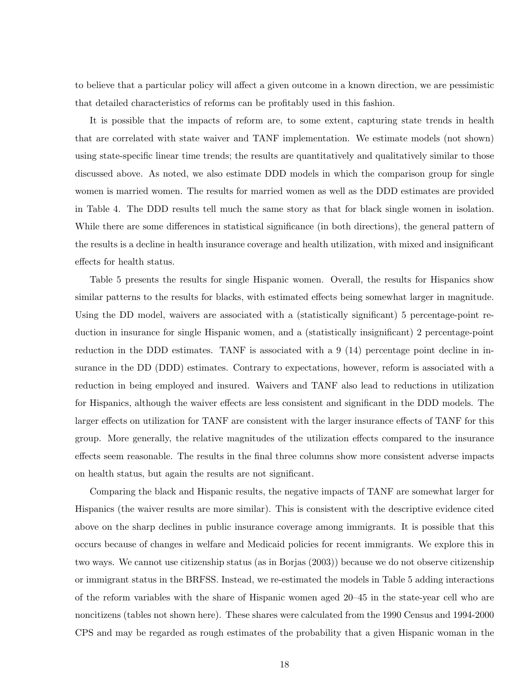to believe that a particular policy will affect a given outcome in a known direction, we are pessimistic that detailed characteristics of reforms can be profitably used in this fashion.

It is possible that the impacts of reform are, to some extent, capturing state trends in health that are correlated with state waiver and TANF implementation. We estimate models (not shown) using state-specific linear time trends; the results are quantitatively and qualitatively similar to those discussed above. As noted, we also estimate DDD models in which the comparison group for single women is married women. The results for married women as well as the DDD estimates are provided in Table 4. The DDD results tell much the same story as that for black single women in isolation. While there are some differences in statistical significance (in both directions), the general pattern of the results is a decline in health insurance coverage and health utilization, with mixed and insignificant effects for health status.

Table 5 presents the results for single Hispanic women. Overall, the results for Hispanics show similar patterns to the results for blacks, with estimated effects being somewhat larger in magnitude. Using the DD model, waivers are associated with a (statistically significant) 5 percentage-point reduction in insurance for single Hispanic women, and a (statistically insignificant) 2 percentage-point reduction in the DDD estimates. TANF is associated with a 9 (14) percentage point decline in insurance in the DD (DDD) estimates. Contrary to expectations, however, reform is associated with a reduction in being employed and insured. Waivers and TANF also lead to reductions in utilization for Hispanics, although the waiver effects are less consistent and significant in the DDD models. The larger effects on utilization for TANF are consistent with the larger insurance effects of TANF for this group. More generally, the relative magnitudes of the utilization effects compared to the insurance effects seem reasonable. The results in the final three columns show more consistent adverse impacts on health status, but again the results are not significant.

Comparing the black and Hispanic results, the negative impacts of TANF are somewhat larger for Hispanics (the waiver results are more similar). This is consistent with the descriptive evidence cited above on the sharp declines in public insurance coverage among immigrants. It is possible that this occurs because of changes in welfare and Medicaid policies for recent immigrants. We explore this in two ways. We cannot use citizenship status (as in Borjas (2003)) because we do not observe citizenship or immigrant status in the BRFSS. Instead, we re-estimated the models in Table 5 adding interactions of the reform variables with the share of Hispanic women aged 20–45 in the state-year cell who are noncitizens (tables not shown here). These shares were calculated from the 1990 Census and 1994-2000 CPS and may be regarded as rough estimates of the probability that a given Hispanic woman in the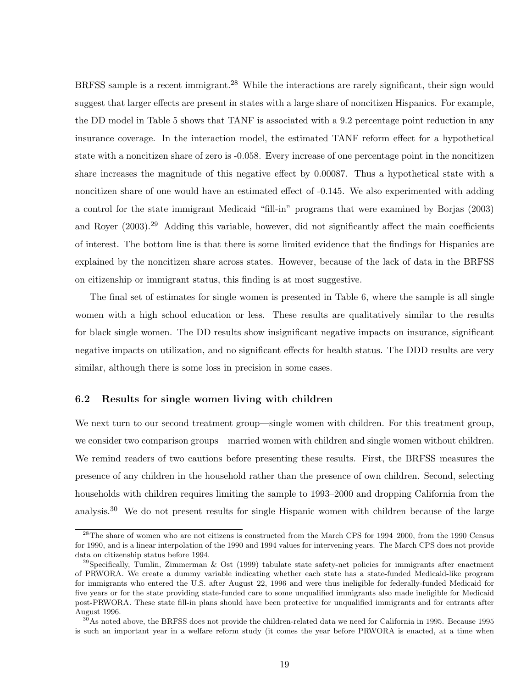BRFSS sample is a recent immigrant.<sup>28</sup> While the interactions are rarely significant, their sign would suggest that larger effects are present in states with a large share of noncitizen Hispanics. For example, the DD model in Table 5 shows that TANF is associated with a 9.2 percentage point reduction in any insurance coverage. In the interaction model, the estimated TANF reform effect for a hypothetical state with a noncitizen share of zero is -0.058. Every increase of one percentage point in the noncitizen share increases the magnitude of this negative effect by 0.00087. Thus a hypothetical state with a noncitizen share of one would have an estimated effect of -0.145. We also experimented with adding a control for the state immigrant Medicaid "fill-in" programs that were examined by Borjas (2003) and Royer (2003).<sup>29</sup> Adding this variable, however, did not significantly affect the main coefficients of interest. The bottom line is that there is some limited evidence that the findings for Hispanics are explained by the noncitizen share across states. However, because of the lack of data in the BRFSS on citizenship or immigrant status, this finding is at most suggestive.

The final set of estimates for single women is presented in Table 6, where the sample is all single women with a high school education or less. These results are qualitatively similar to the results for black single women. The DD results show insignificant negative impacts on insurance, significant negative impacts on utilization, and no significant effects for health status. The DDD results are very similar, although there is some loss in precision in some cases.

#### 6.2 Results for single women living with children

We next turn to our second treatment group—single women with children. For this treatment group, we consider two comparison groups—married women with children and single women without children. We remind readers of two cautions before presenting these results. First, the BRFSS measures the presence of any children in the household rather than the presence of own children. Second, selecting households with children requires limiting the sample to 1993–2000 and dropping California from the analysis.<sup>30</sup> We do not present results for single Hispanic women with children because of the large

<sup>&</sup>lt;sup>28</sup>The share of women who are not citizens is constructed from the March CPS for 1994–2000, from the 1990 Census for 1990, and is a linear interpolation of the 1990 and 1994 values for intervening years. The March CPS does not provide data on citizenship status before 1994.

 $^{29}$ Specifically, Tumlin, Zimmerman & Ost (1999) tabulate state safety-net policies for immigrants after enactment of PRWORA. We create a dummy variable indicating whether each state has a state-funded Medicaid-like program for immigrants who entered the U.S. after August 22, 1996 and were thus ineligible for federally-funded Medicaid for five years or for the state providing state-funded care to some unqualified immigrants also made ineligible for Medicaid post-PRWORA. These state fill-in plans should have been protective for unqualified immigrants and for entrants after August 1996.

 $30\text{As}$  noted above, the BRFSS does not provide the children-related data we need for California in 1995. Because 1995 is such an important year in a welfare reform study (it comes the year before PRWORA is enacted, at a time when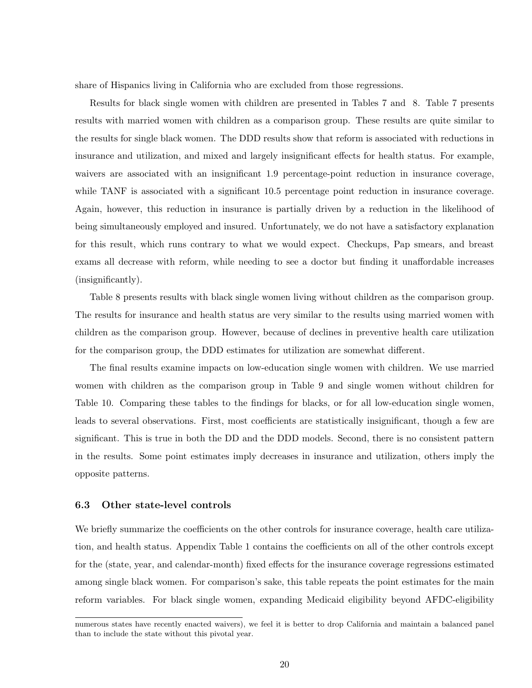share of Hispanics living in California who are excluded from those regressions.

Results for black single women with children are presented in Tables 7 and 8. Table 7 presents results with married women with children as a comparison group. These results are quite similar to the results for single black women. The DDD results show that reform is associated with reductions in insurance and utilization, and mixed and largely insignificant effects for health status. For example, waivers are associated with an insignificant 1.9 percentage-point reduction in insurance coverage, while TANF is associated with a significant 10.5 percentage point reduction in insurance coverage. Again, however, this reduction in insurance is partially driven by a reduction in the likelihood of being simultaneously employed and insured. Unfortunately, we do not have a satisfactory explanation for this result, which runs contrary to what we would expect. Checkups, Pap smears, and breast exams all decrease with reform, while needing to see a doctor but finding it unaffordable increases (insignificantly).

Table 8 presents results with black single women living without children as the comparison group. The results for insurance and health status are very similar to the results using married women with children as the comparison group. However, because of declines in preventive health care utilization for the comparison group, the DDD estimates for utilization are somewhat different.

The final results examine impacts on low-education single women with children. We use married women with children as the comparison group in Table 9 and single women without children for Table 10. Comparing these tables to the findings for blacks, or for all low-education single women, leads to several observations. First, most coefficients are statistically insignificant, though a few are significant. This is true in both the DD and the DDD models. Second, there is no consistent pattern in the results. Some point estimates imply decreases in insurance and utilization, others imply the opposite patterns.

#### 6.3 Other state-level controls

We briefly summarize the coefficients on the other controls for insurance coverage, health care utilization, and health status. Appendix Table 1 contains the coefficients on all of the other controls except for the (state, year, and calendar-month) fixed effects for the insurance coverage regressions estimated among single black women. For comparison's sake, this table repeats the point estimates for the main reform variables. For black single women, expanding Medicaid eligibility beyond AFDC-eligibility

numerous states have recently enacted waivers), we feel it is better to drop California and maintain a balanced panel than to include the state without this pivotal year.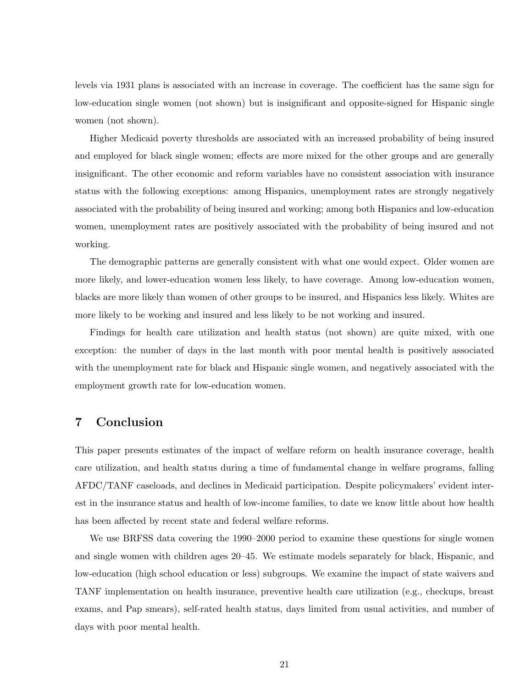levels via 1931 plans is associated with an increase in coverage. The coefficient has the same sign for low-education single women (not shown) but is insignificant and opposite-signed for Hispanic single women (not shown).

Higher Medicaid poverty thresholds are associated with an increased probability of being insured and employed for black single women; effects are more mixed for the other groups and are generally insignificant. The other economic and reform variables have no consistent association with insurance status with the following exceptions: among Hispanics, unemployment rates are strongly negatively associated with the probability of being insured and working; among both Hispanics and low-education women, unemployment rates are positively associated with the probability of being insured and not working.

The demographic patterns are generally consistent with what one would expect. Older women are more likely, and lower-education women less likely, to have coverage. Among low-education women, blacks are more likely than women of other groups to be insured, and Hispanics less likely. Whites are more likely to be working and insured and less likely to be not working and insured.

Findings for health care utilization and health status (not shown) are quite mixed, with one exception: the number of days in the last month with poor mental health is positively associated with the unemployment rate for black and Hispanic single women, and negatively associated with the employment growth rate for low-education women.

# 7 Conclusion

This paper presents estimates of the impact of welfare reform on health insurance coverage, health care utilization, and health status during a time of fundamental change in welfare programs, falling AFDC/TANF caseloads, and declines in Medicaid participation. Despite policymakers' evident interest in the insurance status and health of low-income families, to date we know little about how health has been affected by recent state and federal welfare reforms.

We use BRFSS data covering the 1990–2000 period to examine these questions for single women and single women with children ages 20–45. We estimate models separately for black, Hispanic, and low-education (high school education or less) subgroups. We examine the impact of state waivers and TANF implementation on health insurance, preventive health care utilization (e.g., checkups, breast exams, and Pap smears), self-rated health status, days limited from usual activities, and number of days with poor mental health.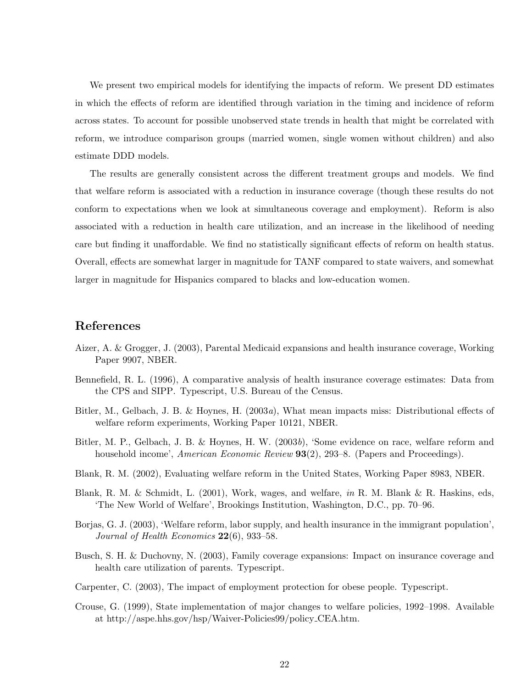We present two empirical models for identifying the impacts of reform. We present DD estimates in which the effects of reform are identified through variation in the timing and incidence of reform across states. To account for possible unobserved state trends in health that might be correlated with reform, we introduce comparison groups (married women, single women without children) and also estimate DDD models.

The results are generally consistent across the different treatment groups and models. We find that welfare reform is associated with a reduction in insurance coverage (though these results do not conform to expectations when we look at simultaneous coverage and employment). Reform is also associated with a reduction in health care utilization, and an increase in the likelihood of needing care but finding it unaffordable. We find no statistically significant effects of reform on health status. Overall, effects are somewhat larger in magnitude for TANF compared to state waivers, and somewhat larger in magnitude for Hispanics compared to blacks and low-education women.

## References

- Aizer, A. & Grogger, J. (2003), Parental Medicaid expansions and health insurance coverage, Working Paper 9907, NBER.
- Bennefield, R. L. (1996), A comparative analysis of health insurance coverage estimates: Data from the CPS and SIPP. Typescript, U.S. Bureau of the Census.
- Bitler, M., Gelbach, J. B. & Hoynes, H. (2003a), What mean impacts miss: Distributional effects of welfare reform experiments, Working Paper 10121, NBER.
- Bitler, M. P., Gelbach, J. B. & Hoynes, H. W. (2003b), 'Some evidence on race, welfare reform and household income', American Economic Review **93**(2), 293–8. (Papers and Proceedings).
- Blank, R. M. (2002), Evaluating welfare reform in the United States, Working Paper 8983, NBER.
- Blank, R. M. & Schmidt, L. (2001), Work, wages, and welfare, in R. M. Blank & R. Haskins, eds, 'The New World of Welfare', Brookings Institution, Washington, D.C., pp. 70–96.
- Borjas, G. J. (2003), 'Welfare reform, labor supply, and health insurance in the immigrant population', Journal of Health Economics  $22(6)$ , 933–58.
- Busch, S. H. & Duchovny, N. (2003), Family coverage expansions: Impact on insurance coverage and health care utilization of parents. Typescript.
- Carpenter, C. (2003), The impact of employment protection for obese people. Typescript.
- Crouse, G. (1999), State implementation of major changes to welfare policies, 1992–1998. Available at http://aspe.hhs.gov/hsp/Waiver-Policies99/policy CEA.htm.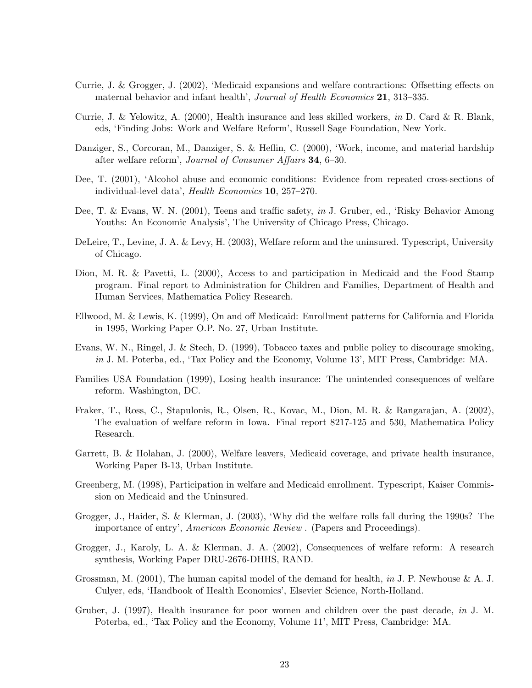- Currie, J. & Grogger, J. (2002), 'Medicaid expansions and welfare contractions: Offsetting effects on maternal behavior and infant health', Journal of Health Economics 21, 313–335.
- Currie, J. & Yelowitz, A. (2000), Health insurance and less skilled workers, in D. Card & R. Blank, eds, 'Finding Jobs: Work and Welfare Reform', Russell Sage Foundation, New York.
- Danziger, S., Corcoran, M., Danziger, S. & Heflin, C. (2000), 'Work, income, and material hardship after welfare reform', Journal of Consumer Affairs 34, 6–30.
- Dee, T. (2001), 'Alcohol abuse and economic conditions: Evidence from repeated cross-sections of individual-level data', Health Economics 10, 257–270.
- Dee, T. & Evans, W. N. (2001), Teens and traffic safety, in J. Gruber, ed., 'Risky Behavior Among Youths: An Economic Analysis', The University of Chicago Press, Chicago.
- DeLeire, T., Levine, J. A. & Levy, H. (2003), Welfare reform and the uninsured. Typescript, University of Chicago.
- Dion, M. R. & Pavetti, L. (2000), Access to and participation in Medicaid and the Food Stamp program. Final report to Administration for Children and Families, Department of Health and Human Services, Mathematica Policy Research.
- Ellwood, M. & Lewis, K. (1999), On and off Medicaid: Enrollment patterns for California and Florida in 1995, Working Paper O.P. No. 27, Urban Institute.
- Evans, W. N., Ringel, J. & Stech, D. (1999), Tobacco taxes and public policy to discourage smoking, in J. M. Poterba, ed., 'Tax Policy and the Economy, Volume 13', MIT Press, Cambridge: MA.
- Families USA Foundation (1999), Losing health insurance: The unintended consequences of welfare reform. Washington, DC.
- Fraker, T., Ross, C., Stapulonis, R., Olsen, R., Kovac, M., Dion, M. R. & Rangarajan, A. (2002), The evaluation of welfare reform in Iowa. Final report 8217-125 and 530, Mathematica Policy Research.
- Garrett, B. & Holahan, J. (2000), Welfare leavers, Medicaid coverage, and private health insurance, Working Paper B-13, Urban Institute.
- Greenberg, M. (1998), Participation in welfare and Medicaid enrollment. Typescript, Kaiser Commission on Medicaid and the Uninsured.
- Grogger, J., Haider, S. & Klerman, J. (2003), 'Why did the welfare rolls fall during the 1990s? The importance of entry', American Economic Review . (Papers and Proceedings).
- Grogger, J., Karoly, L. A. & Klerman, J. A. (2002), Consequences of welfare reform: A research synthesis, Working Paper DRU-2676-DHHS, RAND.
- Grossman, M. (2001), The human capital model of the demand for health, in J. P. Newhouse & A. J. Culyer, eds, 'Handbook of Health Economics', Elsevier Science, North-Holland.
- Gruber, J. (1997), Health insurance for poor women and children over the past decade, in J. M. Poterba, ed., 'Tax Policy and the Economy, Volume 11', MIT Press, Cambridge: MA.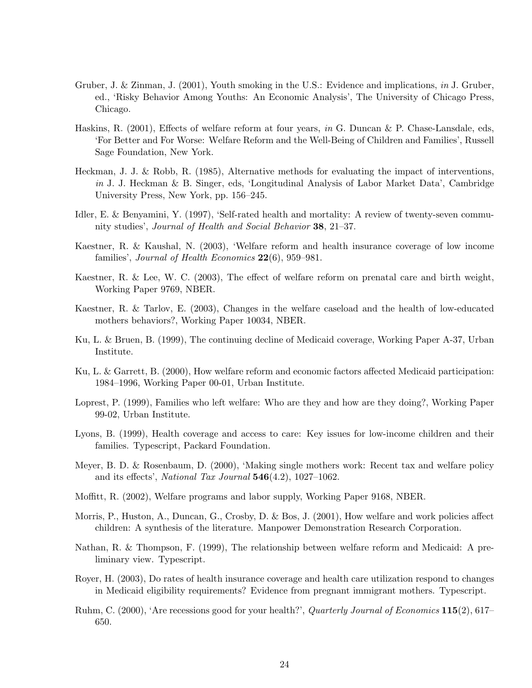- Gruber, J. & Zinman, J. (2001), Youth smoking in the U.S.: Evidence and implications, in J. Gruber, ed., 'Risky Behavior Among Youths: An Economic Analysis', The University of Chicago Press, Chicago.
- Haskins, R. (2001), Effects of welfare reform at four years, in G. Duncan & P. Chase-Lansdale, eds, 'For Better and For Worse: Welfare Reform and the Well-Being of Children and Families', Russell Sage Foundation, New York.
- Heckman, J. J. & Robb, R. (1985), Alternative methods for evaluating the impact of interventions, in J. J. Heckman & B. Singer, eds, 'Longitudinal Analysis of Labor Market Data', Cambridge University Press, New York, pp. 156–245.
- Idler, E. & Benyamini, Y. (1997), 'Self-rated health and mortality: A review of twenty-seven community studies', Journal of Health and Social Behavior 38, 21–37.
- Kaestner, R. & Kaushal, N. (2003), 'Welfare reform and health insurance coverage of low income families', Journal of Health Economics 22(6), 959-981.
- Kaestner, R. & Lee, W. C. (2003), The effect of welfare reform on prenatal care and birth weight, Working Paper 9769, NBER.
- Kaestner, R. & Tarlov, E. (2003), Changes in the welfare caseload and the health of low-educated mothers behaviors?, Working Paper 10034, NBER.
- Ku, L. & Bruen, B. (1999), The continuing decline of Medicaid coverage, Working Paper A-37, Urban Institute.
- Ku, L. & Garrett, B. (2000), How welfare reform and economic factors affected Medicaid participation: 1984–1996, Working Paper 00-01, Urban Institute.
- Loprest, P. (1999), Families who left welfare: Who are they and how are they doing?, Working Paper 99-02, Urban Institute.
- Lyons, B. (1999), Health coverage and access to care: Key issues for low-income children and their families. Typescript, Packard Foundation.
- Meyer, B. D. & Rosenbaum, D. (2000), 'Making single mothers work: Recent tax and welfare policy and its effects', National Tax Journal 546(4.2), 1027–1062.
- Moffitt, R. (2002), Welfare programs and labor supply, Working Paper 9168, NBER.
- Morris, P., Huston, A., Duncan, G., Crosby, D. & Bos, J. (2001), How welfare and work policies affect children: A synthesis of the literature. Manpower Demonstration Research Corporation.
- Nathan, R. & Thompson, F. (1999), The relationship between welfare reform and Medicaid: A preliminary view. Typescript.
- Royer, H. (2003), Do rates of health insurance coverage and health care utilization respond to changes in Medicaid eligibility requirements? Evidence from pregnant immigrant mothers. Typescript.
- Ruhm, C. (2000), 'Are recessions good for your health?', *Quarterly Journal of Economics* 115(2), 617– 650.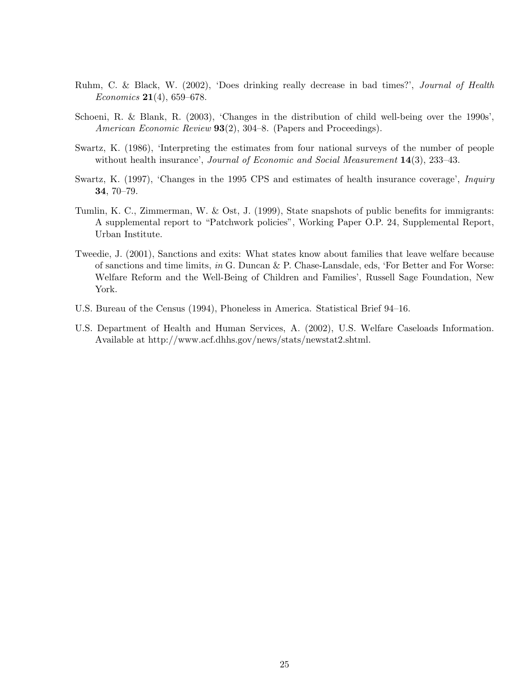- Ruhm, C. & Black, W. (2002), 'Does drinking really decrease in bad times?', Journal of Health *Economics* **21**(4), 659–678.
- Schoeni, R. & Blank, R. (2003), 'Changes in the distribution of child well-being over the 1990s', American Economic Review 93(2), 304–8. (Papers and Proceedings).
- Swartz, K. (1986), 'Interpreting the estimates from four national surveys of the number of people without health insurance', Journal of Economic and Social Measurement 14(3), 233-43.
- Swartz, K. (1997), 'Changes in the 1995 CPS and estimates of health insurance coverage', *Inquiry* 34, 70–79.
- Tumlin, K. C., Zimmerman, W. & Ost, J. (1999), State snapshots of public benefits for immigrants: A supplemental report to "Patchwork policies", Working Paper O.P. 24, Supplemental Report, Urban Institute.
- Tweedie, J. (2001), Sanctions and exits: What states know about families that leave welfare because of sanctions and time limits, in G. Duncan & P. Chase-Lansdale, eds, 'For Better and For Worse: Welfare Reform and the Well-Being of Children and Families', Russell Sage Foundation, New York.
- U.S. Bureau of the Census (1994), Phoneless in America. Statistical Brief 94–16.
- U.S. Department of Health and Human Services, A. (2002), U.S. Welfare Caseloads Information. Available at http://www.acf.dhhs.gov/news/stats/newstat2.shtml.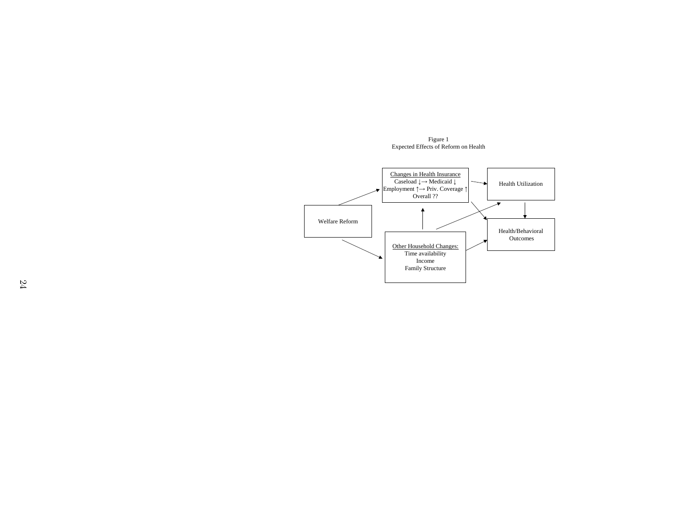Figure 1 Expected Effects of Reform on Health

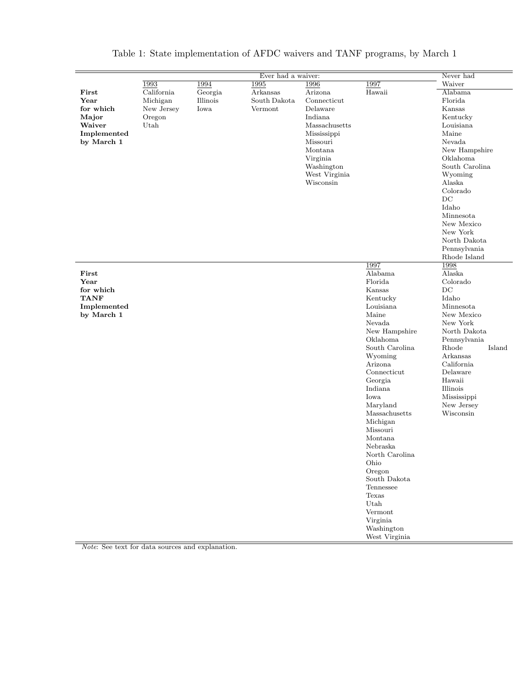|             |            |          | Ever had a waiver: |               |                | Never had       |
|-------------|------------|----------|--------------------|---------------|----------------|-----------------|
|             | 1993       | 1994     | 1995               | 1996          | 1997           | Waiver          |
| First       | California | Georgia  | Arkansas           | Arizona       | Hawaii         | Alabama         |
| Year        | Michigan   | Illinois | South Dakota       | Connecticut   |                | Florida         |
| for which   | New Jersey | Iowa     | Vermont            | Delaware      |                | Kansas          |
| Major       | Oregon     |          |                    | Indiana       |                | Kentucky        |
| Waiver      | Utah       |          |                    | Massachusetts |                | Louisiana       |
| Implemented |            |          |                    | Mississippi   |                | Maine           |
| by March 1  |            |          |                    | Missouri      |                | Nevada          |
|             |            |          |                    | Montana       |                | New Hampshire   |
|             |            |          |                    | Virginia      |                | Oklahoma        |
|             |            |          |                    | Washington    |                | South Carolina  |
|             |            |          |                    | West Virginia |                | Wyoming         |
|             |            |          |                    | Wisconsin     |                | Alaska          |
|             |            |          |                    |               |                | Colorado        |
|             |            |          |                    |               |                | DC              |
|             |            |          |                    |               |                | Idaho           |
|             |            |          |                    |               |                | Minnesota       |
|             |            |          |                    |               |                | New Mexico      |
|             |            |          |                    |               |                | New York        |
|             |            |          |                    |               |                | North Dakota    |
|             |            |          |                    |               |                | Pennsylvania    |
|             |            |          |                    |               |                | Rhode Island    |
|             |            |          |                    |               | 1997           | 1998            |
| First       |            |          |                    |               | Alabama        | Alaska          |
| Year        |            |          |                    |               | Florida        | Colorado        |
| for which   |            |          |                    |               | Kansas         | $DC$            |
| <b>TANF</b> |            |          |                    |               | Kentucky       | Idaho           |
| Implemented |            |          |                    |               | Louisiana      | Minnesota       |
| by March 1  |            |          |                    |               | Maine          | New Mexico      |
|             |            |          |                    |               | Nevada         | New York        |
|             |            |          |                    |               | New Hampshire  | North Dakota    |
|             |            |          |                    |               | Oklahoma       | Pennsylvania    |
|             |            |          |                    |               | South Carolina | Rhode<br>Island |
|             |            |          |                    |               | Wyoming        | Arkansas        |
|             |            |          |                    |               | Arizona        | California      |
|             |            |          |                    |               | Connecticut    | Delaware        |
|             |            |          |                    |               | Georgia        | Hawaii          |
|             |            |          |                    |               | Indiana        | Illinois        |
|             |            |          |                    |               | Iowa           | Mississippi     |
|             |            |          |                    |               | Maryland       | New Jersey      |
|             |            |          |                    |               | Massachusetts  | Wisconsin       |
|             |            |          |                    |               | Michigan       |                 |
|             |            |          |                    |               | Missouri       |                 |
|             |            |          |                    |               | Montana        |                 |
|             |            |          |                    |               | Nebraska       |                 |
|             |            |          |                    |               | North Carolina |                 |
|             |            |          |                    |               | Ohio           |                 |
|             |            |          |                    |               | Oregon         |                 |
|             |            |          |                    |               | South Dakota   |                 |
|             |            |          |                    |               | Tennessee      |                 |
|             |            |          |                    |               | Texas          |                 |
|             |            |          |                    |               | Utah           |                 |
|             |            |          |                    |               | Vermont        |                 |
|             |            |          |                    |               | Virginia       |                 |
|             |            |          |                    |               | Washington     |                 |
|             |            |          |                    |               | West Virginia  |                 |

Table 1: State implementation of AFDC waivers and TANF programs, by March 1

Note: See text for data sources and explanation.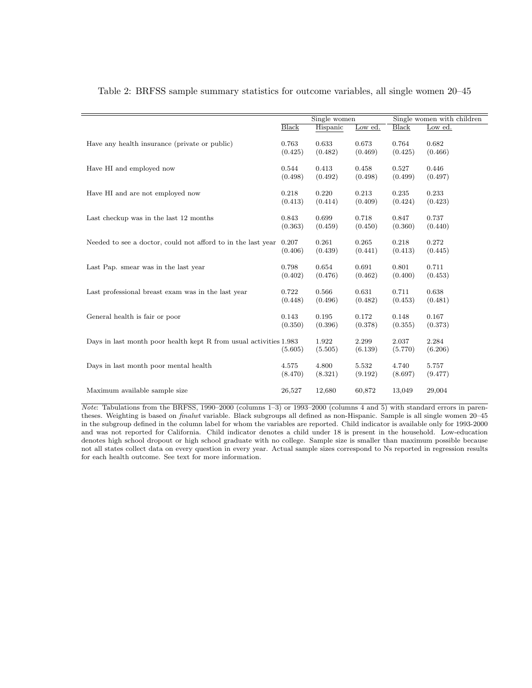|                                                                   |              | Single women     |                  |                  | Single women with children |
|-------------------------------------------------------------------|--------------|------------------|------------------|------------------|----------------------------|
|                                                                   | <b>Black</b> | Hispanic         | Low ed.          | Black            | Low ed.                    |
| Have any health insurance (private or public)                     | 0.763        | 0.633            | 0.673            | 0.764            | 0.682                      |
|                                                                   | (0.425)      | (0.482)          | (0.469)          | (0.425)          | (0.466)                    |
| Have HI and employed now                                          | 0.544        | 0.413            | 0.458            | 0.527            | 0.446                      |
|                                                                   | (0.498)      | (0.492)          | (0.498)          | (0.499)          | (0.497)                    |
| Have HI and are not employed now                                  | 0.218        | 0.220            | 0.213            | 0.235            | 0.233                      |
|                                                                   | (0.413)      | (0.414)          | (0.409)          | (0.424)          | (0.423)                    |
| Last checkup was in the last 12 months                            | 0.843        | 0.699            | 0.718            | 0.847            | 0.737                      |
|                                                                   | (0.363)      | (0.459)          | (0.450)          | (0.360)          | (0.440)                    |
| Needed to see a doctor, could not afford to in the last year      | 0.207        | 0.261            | 0.265            | 0.218            | 0.272                      |
|                                                                   | (0.406)      | (0.439)          | (0.441)          | (0.413)          | (0.445)                    |
| Last Pap. smear was in the last year                              | 0.798        | 0.654            | 0.691            | 0.801            | 0.711                      |
|                                                                   | (0.402)      | (0.476)          | (0.462)          | (0.400)          | (0.453)                    |
| Last professional breast exam was in the last year                | 0.722        | 0.566            | 0.631            | 0.711            | 0.638                      |
|                                                                   | (0.448)      | (0.496)          | (0.482)          | (0.453)          | (0.481)                    |
| General health is fair or poor                                    | 0.143        | 0.195            | 0.172            | 0.148            | 0.167                      |
|                                                                   | (0.350)      | (0.396)          | (0.378)          | (0.355)          | (0.373)                    |
| Days in last month poor health kept R from usual activities 1.983 | (5.605)      | 1.922<br>(5.505) | 2.299<br>(6.139) | 2.037<br>(5.770) | 2.284<br>(6.206)           |
| Days in last month poor mental health                             | 4.575        | 4.800            | 5.532            | 4.740            | 5.757                      |
|                                                                   | (8.470)      | (8.321)          | (9.192)          | (8.697)          | (9.477)                    |
| Maximum available sample size                                     | 26,527       | 12,680           | 60,872           | 13,049           | 29,004                     |

Table 2: BRFSS sample summary statistics for outcome variables, all single women 20–45

Note: Tabulations from the BRFSS, 1990–2000 (columns 1–3) or 1993–2000 (columns 4 and 5) with standard errors in parentheses. Weighting is based on finalwt variable. Black subgroups all defined as non-Hispanic. Sample is all single women 20–45 in the subgroup defined in the column label for whom the variables are reported. Child indicator is available only for 1993-2000 and was not reported for California. Child indicator denotes a child under 18 is present in the household. Low-education denotes high school dropout or high school graduate with no college. Sample size is smaller than maximum possible because not all states collect data on every question in every year. Actual sample sizes correspond to Ns reported in regression results for each health outcome. See text for more information.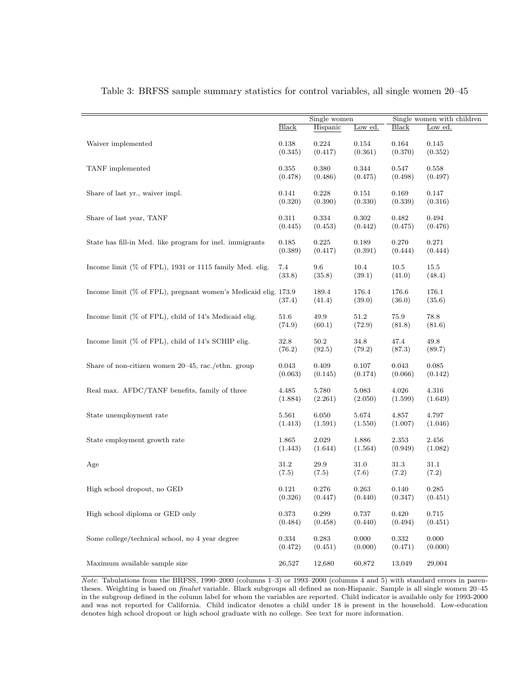|                                                                   |              | Single women    |                 | Single women with children |                 |  |
|-------------------------------------------------------------------|--------------|-----------------|-----------------|----------------------------|-----------------|--|
|                                                                   | <b>Black</b> | Hispanic        | Low ed.         | Black                      | Low ed.         |  |
| Waiver implemented                                                | 0.138        | 0.224           | 0.154           | 0.164                      | 0.145           |  |
|                                                                   | (0.345)      | (0.417)         | (0.361)         | (0.370)                    | (0.352)         |  |
| TANF implemented                                                  | 0.355        | 0.380           | 0.344           | 0.547                      | 0.558           |  |
|                                                                   | (0.478)      | (0.486)         | (0.475)         | (0.498)                    | (0.497)         |  |
| Share of last yr., waiver impl.                                   | 0.141        | 0.228           | 0.151           | 0.169                      | 0.147           |  |
|                                                                   | (0.320)      | (0.390)         | (0.330)         | (0.339)                    | (0.316)         |  |
| Share of last year, TANF                                          | 0.311        | 0.334           | 0.302           | 0.482                      | 0.494           |  |
|                                                                   | (0.445)      | (0.453)         | (0.442)         | (0.475)                    | (0.476)         |  |
| State has fill-in Med. like program for inel. immigrants          | 0.185        | 0.225           | 0.189           | 0.270                      | 0.271           |  |
|                                                                   | (0.389)      | (0.417)         | (0.391)         | (0.444)                    | (0.444)         |  |
| Income limit ( $\%$ of FPL), 1931 or 1115 family Med. elig.       | 7.4          | 9.6             | 10.4            | 10.5                       | 15.5            |  |
|                                                                   | (33.8)       | (35.8)          | (39.1)          | (41.0)                     | (48.4)          |  |
| Income limit $(\%$ of FPL), pregnant women's Medicaid elig. 173.9 | (37.4)       | 189.4<br>(41.4) | 176.4<br>(39.0) | 176.6<br>(36.0)            | 176.1<br>(35.6) |  |
| Income limit $(\%$ of FPL), child of 14's Medicaid elig.          | 51.6         | 49.9            | 51.2            | 75.9                       | 78.8            |  |
|                                                                   | (74.9)       | (60.1)          | (72.9)          | (81.8)                     | (81.6)          |  |
| Income limit (% of FPL), child of 14's SCHIP elig.                | 32.8         | 50.2            | 34.8            | 47.4                       | 49.8            |  |
|                                                                   | (76.2)       | (92.5)          | (79.2)          | (87.3)                     | (89.7)          |  |
| Share of non-citizen women $20-45$ , rac./ethn. group             | 0.043        | 0.409           | 0.107           | 0.043                      | 0.085           |  |
|                                                                   | (0.063)      | (0.145)         | (0.174)         | (0.066)                    | (0.142)         |  |
| Real max. AFDC/TANF benefits, family of three                     | 4.485        | 5.780           | 5.083           | 4.026                      | 4.316           |  |
|                                                                   | (1.884)      | (2.261)         | (2.050)         | (1.599)                    | (1.649)         |  |
| State unemployment rate                                           | 5.561        | 6.050           | 5.674           | 4.857                      | 4.797           |  |
|                                                                   | (1.413)      | (1.591)         | (1.550)         | (1.007)                    | (1.046)         |  |
| State employment growth rate                                      | 1.865        | 2.029           | 1.886           | 2.353                      | 2.456           |  |
|                                                                   | (1.443)      | (1.644)         | (1.564)         | (0.949)                    | (1.082)         |  |
| Age                                                               | 31.2         | 29.9            | 31.0            | 31.3                       | 31.1            |  |
|                                                                   | (7.5)        | (7.5)           | (7.6)           | (7.2)                      | (7.2)           |  |
| High school dropout, no GED                                       | 0.121        | 0.276           | 0.263           | 0.140                      | 0.285           |  |
|                                                                   | (0.326)      | (0.447)         | (0.440)         | (0.347)                    | (0.451)         |  |
| High school diploma or GED only                                   | 0.373        | 0.299           | 0.737           | 0.420                      | 0.715           |  |
|                                                                   | (0.484)      | (0.458)         | (0.440)         | (0.494)                    | (0.451)         |  |
| Some college/technical school, no 4 year degree                   | 0.334        | 0.283           | 0.000           | 0.332                      | 0.000           |  |
|                                                                   | (0.472)      | (0.451)         | (0.000)         | (0.471)                    | (0.000)         |  |
| Maximum available sample size                                     | 26,527       | 12,680          | 60,872          | 13,049                     | 29,004          |  |

Table 3: BRFSS sample summary statistics for control variables, all single women 20–45

Note: Tabulations from the BRFSS, 1990–2000 (columns 1–3) or 1993–2000 (columns 4 and 5) with standard errors in parentheses. Weighting is based on finalwt variable. Black subgroups all defined as non-Hispanic. Sample is all single women 20–45 in the subgroup defined in the column label for whom the variables are reported. Child indicator is available only for 1993-2000 and was not reported for California. Child indicator denotes a child under 18 is present in the household. Low-education denotes high school dropout or high school graduate with no college. See text for more information.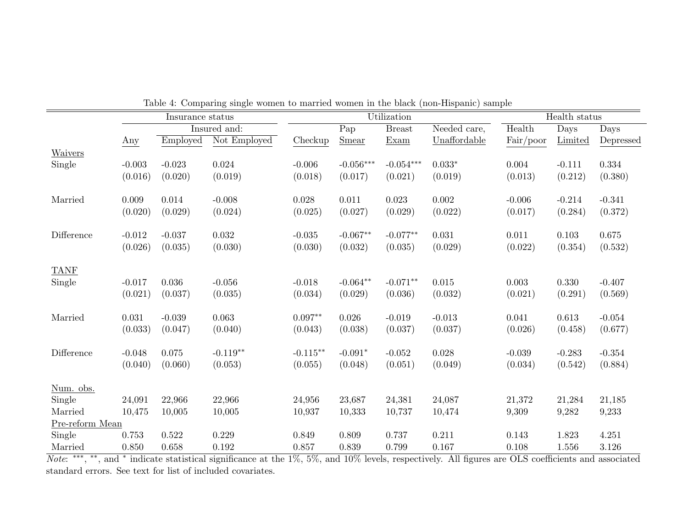|                 |          | Insurance status |              |             |                  | Utilization   |              | Health status |          |                             |  |
|-----------------|----------|------------------|--------------|-------------|------------------|---------------|--------------|---------------|----------|-----------------------------|--|
|                 |          |                  | Insured and: |             | $\overline{Pap}$ | <b>Breast</b> | Needed care, | Health        | Days     | $\overline{\mathrm{D}}$ ays |  |
|                 | Any      | Employed         | Not Employed | Checkup     | <b>Smear</b>     | Exam          | Unaffordable | Fair/poor     | Limited  | Depressed                   |  |
| Waivers         |          |                  |              |             |                  |               |              |               |          |                             |  |
| Single          | $-0.003$ | $-0.023$         | 0.024        | $-0.006$    | $-0.056***$      | $-0.054***$   | $0.033*$     | 0.004         | $-0.111$ | 0.334                       |  |
|                 | (0.016)  | (0.020)          | (0.019)      | (0.018)     | (0.017)          | (0.021)       | (0.019)      | (0.013)       | (0.212)  | (0.380)                     |  |
|                 |          |                  |              |             |                  |               |              |               |          |                             |  |
| Married         | 0.009    | 0.014            | $-0.008$     | 0.028       | 0.011            | 0.023         | 0.002        | $-0.006$      | $-0.214$ | $-0.341$                    |  |
|                 | (0.020)  | (0.029)          | (0.024)      | (0.025)     | (0.027)          | (0.029)       | (0.022)      | (0.017)       | (0.284)  | (0.372)                     |  |
| Difference      | $-0.012$ | $-0.037$         | 0.032        | $-0.035$    | $-0.067**$       | $-0.077**$    | 0.031        | 0.011         | 0.103    | 0.675                       |  |
|                 | (0.026)  | (0.035)          | (0.030)      | (0.030)     | (0.032)          | (0.035)       | (0.029)      | (0.022)       | (0.354)  | (0.532)                     |  |
|                 |          |                  |              |             |                  |               |              |               |          |                             |  |
| <b>TANF</b>     |          |                  |              |             |                  |               |              |               |          |                             |  |
| Single          | $-0.017$ | 0.036            | $-0.056$     | $-0.018$    | $-0.064**$       | $-0.071**$    | 0.015        | 0.003         | 0.330    | $-0.407$                    |  |
|                 | (0.021)  | (0.037)          | (0.035)      | (0.034)     | (0.029)          | (0.036)       | (0.032)      | (0.021)       | (0.291)  | (0.569)                     |  |
| Married         | 0.031    | $-0.039$         | 0.063        | $0.097**$   | 0.026            | $-0.019$      | $-0.013$     | 0.041         | 0.613    | $-0.054$                    |  |
|                 | (0.033)  | (0.047)          | (0.040)      | (0.043)     | (0.038)          | (0.037)       | (0.037)      | (0.026)       | (0.458)  | (0.677)                     |  |
|                 |          |                  |              |             |                  |               |              |               |          |                             |  |
| Difference      | $-0.048$ | 0.075            | $-0.119**$   | $-0.115***$ | $-0.091*$        | $-0.052$      | 0.028        | $-0.039$      | $-0.283$ | $-0.354$                    |  |
|                 | (0.040)  | (0.060)          | (0.053)      | (0.055)     | (0.048)          | (0.051)       | (0.049)      | (0.034)       | (0.542)  | (0.884)                     |  |
| Num. obs.       |          |                  |              |             |                  |               |              |               |          |                             |  |
| Single          | 24,091   | 22,966           | 22,966       | 24,956      | 23,687           | 24,381        | 24,087       | 21,372        | 21,284   | 21,185                      |  |
| Married         | 10,475   | 10,005           | 10,005       | 10,937      | 10,333           | 10,737        | 10,474       | 9,309         | 9,282    | 9,233                       |  |
| Pre-reform Mean |          |                  |              |             |                  |               |              |               |          |                             |  |
| Single          | 0.753    | 0.522            | 0.229        | 0.849       | 0.809            | 0.737         | 0.211        | 0.143         | 1.823    | 4.251                       |  |
| Married         | 0.850    | 0.658            | 0.192        | 0.857       | 0.839            | 0.799         | 0.167        | 0.108         | 1.556    | 3.126                       |  |

Table 4: Comparing single women to married women in the black (non-Hispanic) sample

Married 0.850 0.658 0.192 0.857 0.839 0.799 0.167 0.108 1.556 3.126<br>*Note*: \*\*\*, \*\*, and \* indicate statistical significance at the 1%, 5%, and 10% levels, respectively. All figures are OLS coefficients and associated standard errors. See text for list of included covariates.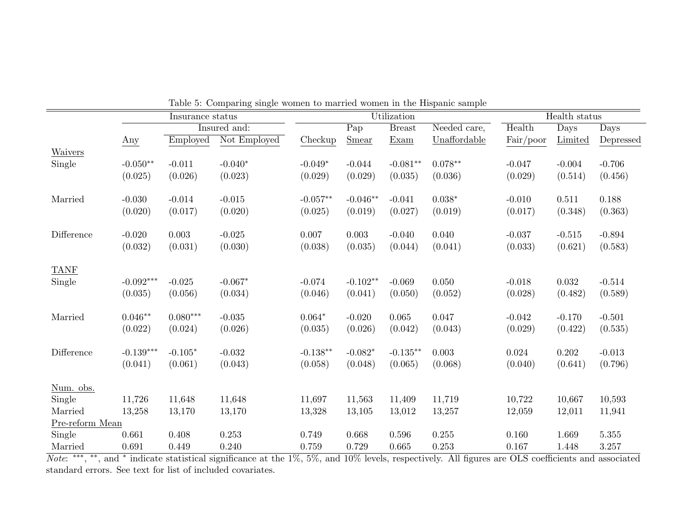|                 |             |                  | Lable 5. Comparing single women to married women in the Hispanic sample |            |            |               |              | Health status |          |           |  |
|-----------------|-------------|------------------|-------------------------------------------------------------------------|------------|------------|---------------|--------------|---------------|----------|-----------|--|
|                 |             | Insurance status |                                                                         |            |            | Utilization   |              |               |          |           |  |
|                 |             |                  | Insured and:                                                            |            | Pap        | <b>Breast</b> | Needed care, | Health        | Days     | Days      |  |
|                 | Any         | Employed         | Not Employed                                                            | Checkup    | Smear      | Exam          | Unaffordable | Fair/poor     | Limited  | Depressed |  |
| Waivers         |             |                  |                                                                         |            |            |               |              |               |          |           |  |
| Single          | $-0.050**$  | $-0.011$         | $-0.040*$                                                               | $-0.049*$  | $-0.044$   | $-0.081**$    | $0.078**$    | $-0.047$      | $-0.004$ | $-0.706$  |  |
|                 | (0.025)     | (0.026)          | (0.023)                                                                 | (0.029)    | (0.029)    | (0.035)       | (0.036)      | (0.029)       | (0.514)  | (0.456)   |  |
|                 |             |                  |                                                                         |            |            |               |              |               |          |           |  |
| Married         | $-0.030$    | $-0.014$         | $-0.015$                                                                | $-0.057**$ | $-0.046**$ | $-0.041$      | $0.038*$     | $-0.010$      | 0.511    | 0.188     |  |
|                 | (0.020)     | (0.017)          | (0.020)                                                                 | (0.025)    | (0.019)    | (0.027)       | (0.019)      | (0.017)       | (0.348)  | (0.363)   |  |
|                 |             |                  |                                                                         |            |            |               |              |               |          |           |  |
| Difference      | $-0.020$    | 0.003            | $-0.025$                                                                | 0.007      | 0.003      | $-0.040$      | 0.040        | $-0.037$      | $-0.515$ | $-0.894$  |  |
|                 | (0.032)     | (0.031)          | (0.030)                                                                 | (0.038)    | (0.035)    | (0.044)       | (0.041)      | (0.033)       | (0.621)  | (0.583)   |  |
|                 |             |                  |                                                                         |            |            |               |              |               |          |           |  |
| <b>TANF</b>     |             |                  |                                                                         |            |            |               |              |               |          |           |  |
| Single          | $-0.092***$ | $-0.025$         | $-0.067*$                                                               | $-0.074$   | $-0.102**$ | $-0.069$      | 0.050        | $-0.018$      | 0.032    | $-0.514$  |  |
|                 | (0.035)     | (0.056)          | (0.034)                                                                 | (0.046)    | (0.041)    | (0.050)       | (0.052)      | (0.028)       | (0.482)  | (0.589)   |  |
|                 |             |                  |                                                                         |            |            |               |              |               |          |           |  |
| Married         | $0.046**$   | $0.080***$       | $-0.035$                                                                | $0.064*$   | $-0.020$   | 0.065         | 0.047        | $-0.042$      | $-0.170$ | $-0.501$  |  |
|                 | (0.022)     | (0.024)          | (0.026)                                                                 | (0.035)    | (0.026)    | (0.042)       | (0.043)      | (0.029)       | (0.422)  | (0.535)   |  |
|                 |             |                  |                                                                         |            |            |               |              |               |          |           |  |
| Difference      | $-0.139***$ | $-0.105*$        | $-0.032$                                                                | $-0.138**$ | $-0.082*$  | $-0.135**$    | 0.003        | 0.024         | 0.202    | $-0.013$  |  |
|                 | (0.041)     | (0.061)          | (0.043)                                                                 | (0.058)    | (0.048)    | (0.065)       | (0.068)      | (0.040)       | (0.641)  | (0.796)   |  |
|                 |             |                  |                                                                         |            |            |               |              |               |          |           |  |
| Num. obs.       |             |                  |                                                                         |            |            |               |              |               |          |           |  |
| Single          | 11,726      | 11,648           | 11,648                                                                  | 11,697     | 11,563     | 11,409        | 11,719       | 10,722        | 10,667   | 10,593    |  |
| Married         | 13,258      | 13,170           | 13,170                                                                  | 13,328     | 13,105     | 13,012        | 13,257       | 12,059        | 12,011   | 11,941    |  |
| Pre-reform Mean |             |                  |                                                                         |            |            |               |              |               |          |           |  |
| Single          | 0.661       | 0.408            | 0.253                                                                   | 0.749      | 0.668      | 0.596         | 0.255        | 0.160         | 1.669    | 5.355     |  |
| Married         | 0.691       | 0.449            | 0.240                                                                   | 0.759      | 0.729      | 0.665         | 0.253        | 0.167         | 1.448    | 3.257     |  |

Table 5: Comparing single women to married women in the Hispanic sample

Married 0.691 0.449 0.240 0.759 0.729 0.665 0.253 0.167 1.448 3.257<br>*Note*: <sup>\*\*\*</sup>, \*\*, and \* indicate statistical significance at the 1%, 5%, and 10% levels, respectively. All figures are OLS coefficients and associated standard errors. See text for list of included covariates.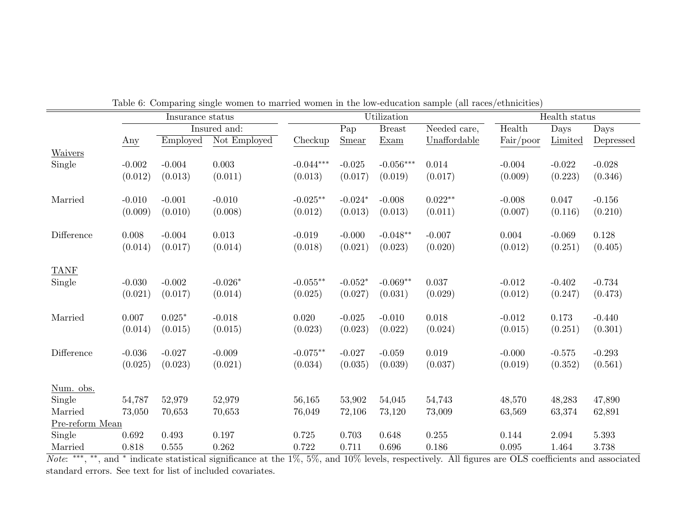|                     |          | Insurance status |                  |                     |                   | Utilization           |              |           | Health status |                             |
|---------------------|----------|------------------|------------------|---------------------|-------------------|-----------------------|--------------|-----------|---------------|-----------------------------|
|                     |          |                  | Insured and:     |                     | $\overline{P}$ ap | <b>Breast</b>         | Needed care, | Health    | Days          | $\overline{\mathrm{D}}$ ays |
|                     | Any      | Employed         | Not Employed     | Checkup             | Smear             | Exam                  | Unaffordable | Fair/poor | Limited       | Depressed                   |
| Waivers             |          |                  |                  |                     |                   |                       |              |           |               |                             |
| Single              | $-0.002$ | $-0.004$         | 0.003            | $-0.044***$         | $-0.025$          | $-0.056***$           | 0.014        | $-0.004$  | $-0.022$      | $-0.028$                    |
|                     | (0.012)  | (0.013)          | (0.011)          | (0.013)             | (0.017)           | (0.019)               | (0.017)      | (0.009)   | (0.223)       | (0.346)                     |
|                     |          |                  |                  |                     |                   |                       |              |           |               |                             |
| Married             | $-0.010$ | $-0.001$         | $-0.010$         | $-0.025**$          | $-0.024*$         | $-0.008$              | $0.022**$    | $-0.008$  | 0.047         | $-0.156$                    |
|                     | (0.009)  | (0.010)          | (0.008)          | (0.012)             | (0.013)           | (0.013)               | (0.011)      | (0.007)   | (0.116)       | (0.210)                     |
| Difference          | 0.008    | $-0.004$         |                  |                     |                   |                       |              |           |               |                             |
|                     | (0.014)  | (0.017)          | 0.013<br>(0.014) | $-0.019$<br>(0.018) | $-0.000$          | $-0.048**$<br>(0.023) | $-0.007$     | 0.004     | $-0.069$      | 0.128                       |
|                     |          |                  |                  |                     | (0.021)           |                       | (0.020)      | (0.012)   | (0.251)       | (0.405)                     |
| <b>TANF</b>         |          |                  |                  |                     |                   |                       |              |           |               |                             |
| Single              | $-0.030$ | $-0.002$         | $-0.026*$        | $-0.055**$          | $-0.052*$         | $-0.069**$            | $0.037\,$    | $-0.012$  | $-0.402$      | $-0.734$                    |
|                     | (0.021)  | (0.017)          | (0.014)          | (0.025)             | (0.027)           | (0.031)               | (0.029)      | (0.012)   | (0.247)       | (0.473)                     |
|                     |          |                  |                  |                     |                   |                       |              |           |               |                             |
| Married             | 0.007    | $0.025*$         | $-0.018$         | 0.020               | $-0.025$          | $-0.010$              | 0.018        | $-0.012$  | 0.173         | $-0.440$                    |
|                     | (0.014)  | (0.015)          | (0.015)          | (0.023)             | (0.023)           | (0.022)               | (0.024)      | (0.015)   | (0.251)       | (0.301)                     |
|                     |          |                  |                  |                     |                   |                       |              |           |               |                             |
| Difference          | $-0.036$ | $-0.027$         | $-0.009$         | $-0.075**$          | $-0.027$          | $-0.059$              | 0.019        | $-0.000$  | $-0.575$      | $-0.293$                    |
|                     | (0.025)  | (0.023)          | (0.021)          | (0.034)             | (0.035)           | (0.039)               | (0.037)      | (0.019)   | (0.352)       | (0.561)                     |
|                     |          |                  |                  |                     |                   |                       |              |           |               |                             |
| Num. obs.<br>Single | 54,787   | 52,979           | 52,979           | 56,165              | 53,902            | 54,045                | 54,743       | 48,570    | 48,283        | 47,890                      |
| Married             | 73,050   | 70,653           | 70,653           | 76,049              | 72,106            | 73,120                | 73,009       | 63,569    | 63,374        | 62,891                      |
| Pre-reform Mean     |          |                  |                  |                     |                   |                       |              |           |               |                             |
| Single              | 0.692    | 0.493            | 0.197            | 0.725               | 0.703             | 0.648                 | 0.255        | 0.144     | 2.094         | 5.393                       |
| Married             | 0.818    | 0.555            | 0.262            | 0.722               | 0.711             | 0.696                 | 0.186        | 0.095     | 1.464         | 3.738                       |

Table 6: Comparing single women to married women in the low-education sample (all races/ethnicities)

Married 0.818 0.555 0.262 0.722 0.711 0.696 0.186 0.095 1.464 3.738<br>*Note*: \*\*\*, \*\*, and \* indicate statistical significance at the 1%, 5%, and 10% levels, respectively. All figures are OLS coefficients and associated standard errors. See text for list of included covariates.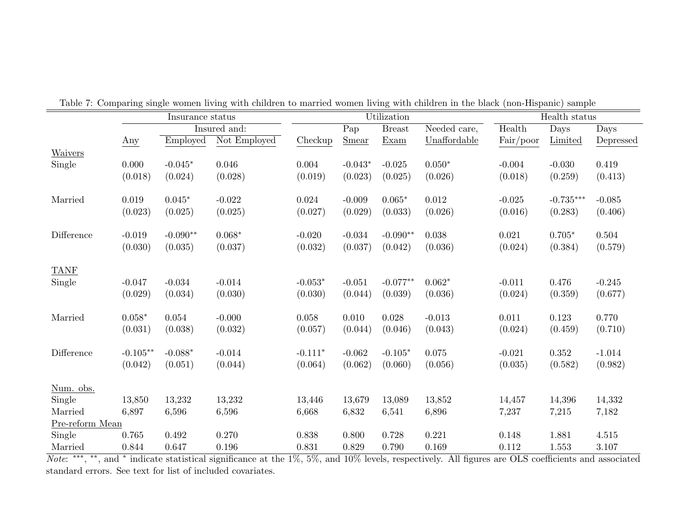|                 |            | Insurance status |              |           |           | Utilization   |                |           | Health status |           |
|-----------------|------------|------------------|--------------|-----------|-----------|---------------|----------------|-----------|---------------|-----------|
|                 |            |                  | Insured and: |           | Pap       | <b>Breast</b> | Needed care,   | Health    | Days          | Days      |
|                 | Any        | Employed         | Not Employed | Checkup   | Smear     | Exam          | Unaffordable   | Fair/poor | Limited       | Depressed |
| <b>Waivers</b>  |            |                  |              |           |           |               |                |           |               |           |
| Single          | 0.000      | $-0.045*$        | 0.046        | 0.004     | $-0.043*$ | $-0.025$      | $0.050*$       | $-0.004$  | $-0.030$      | 0.419     |
|                 | (0.018)    | (0.024)          | (0.028)      | (0.019)   | (0.023)   | (0.025)       | (0.026)        | (0.018)   | (0.259)       | (0.413)   |
| Married         | 0.019      | $0.045*$         | $-0.022$     | 0.024     | $-0.009$  | $0.065*$      | 0.012          | $-0.025$  | $-0.735***$   | $-0.085$  |
|                 | (0.023)    | (0.025)          | (0.025)      | (0.027)   | (0.029)   | (0.033)       | (0.026)        | (0.016)   | (0.283)       | (0.406)   |
|                 |            |                  |              |           |           |               |                |           |               |           |
| Difference      | $-0.019$   | $-0.090**$       | $0.068*$     | $-0.020$  | $-0.034$  | $-0.090**$    | 0.038          | 0.021     | $0.705*$      | 0.504     |
|                 | (0.030)    | (0.035)          | (0.037)      | (0.032)   | (0.037)   | (0.042)       | (0.036)        | (0.024)   | (0.384)       | (0.579)   |
| <b>TANF</b>     |            |                  |              |           |           |               |                |           |               |           |
| Single          | $-0.047$   | $-0.034$         | $-0.014$     | $-0.053*$ | $-0.051$  | $-0.077**$    | $0.062^{\ast}$ | $-0.011$  | 0.476         | $-0.245$  |
|                 | (0.029)    | (0.034)          | (0.030)      | (0.030)   | (0.044)   | (0.039)       | (0.036)        | (0.024)   | (0.359)       | (0.677)   |
| Married         | $0.058*$   | 0.054            | $-0.000$     | 0.058     | 0.010     | $0.028\,$     | $-0.013$       | 0.011     | 0.123         | 0.770     |
|                 | (0.031)    | (0.038)          | (0.032)      | (0.057)   | (0.044)   | (0.046)       | (0.043)        | (0.024)   | (0.459)       | (0.710)   |
|                 |            |                  |              |           |           |               |                |           |               |           |
| Difference      | $-0.105**$ | $-0.088*$        | $-0.014$     | $-0.111*$ | $-0.062$  | $-0.105*$     | 0.075          | $-0.021$  | 0.352         | $-1.014$  |
|                 | (0.042)    | (0.051)          | (0.044)      | (0.064)   | (0.062)   | (0.060)       | (0.056)        | (0.035)   | (0.582)       | (0.982)   |
| Num. obs.       |            |                  |              |           |           |               |                |           |               |           |
| Single          | 13,850     | 13,232           | 13,232       | 13,446    | 13,679    | 13,089        | 13,852         | 14,457    | 14,396        | 14,332    |
| Married         | 6,897      | 6,596            | 6,596        | 6,668     | 6,832     | 6,541         | 6,896          | 7,237     | 7,215         | 7,182     |
| Pre-reform Mean |            |                  |              |           |           |               |                |           |               |           |
| Single          | 0.765      | 0.492            | $0.270\,$    | 0.838     | 0.800     | 0.728         | 0.221          | 0.148     | 1.881         | 4.515     |
| Married         | 0.844      | 0.647            | 0.196        | 0.831     | 0.829     | 0.790         | 0.169          | 0.112     | 1.553         | 3.107     |

Table 7: Comparing single women living with children to married women living with children in the black (non-Hispanic) sample

Married 0.844 0.647 0.196 0.831 0.829 0.790 0.169 0.112 1.553 3.107<br>*Note*: \*\*\*, \*\*, and \* indicate statistical significance at the 1%, 5%, and 10% levels, respectively. All figures are OLS coefficients and associated standard errors. See text for list of included covariates.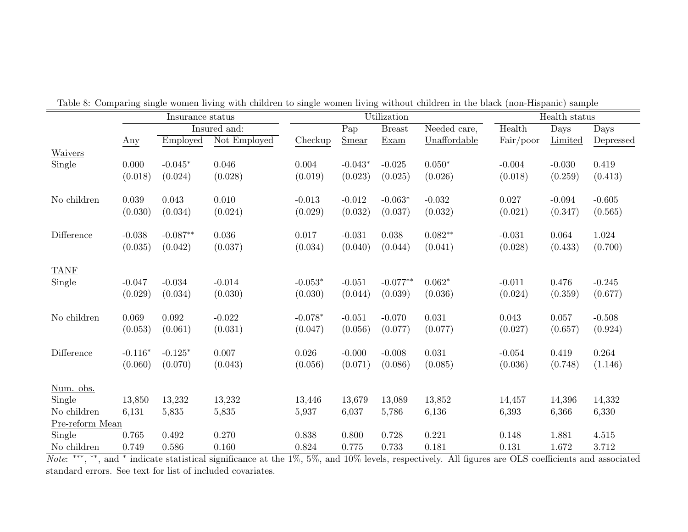|                     |           | Insurance status |              |           |                   | Utilization   |              |           | Health status |           |
|---------------------|-----------|------------------|--------------|-----------|-------------------|---------------|--------------|-----------|---------------|-----------|
|                     |           |                  | Insured and: |           | $\overline{P}$ ap | <b>Breast</b> | Needed care, | Health    | Days          | Days      |
|                     | Any       | Employed         | Not Employed | Checkup   | Smear             | Exam          | Unaffordable | Fair/poor | Limited       | Depressed |
| Waivers             |           |                  |              |           |                   |               |              |           |               |           |
| Single              | 0.000     | $-0.045*$        | 0.046        | 0.004     | $-0.043*$         | $-0.025$      | $0.050*$     | $-0.004$  | $-0.030$      | 0.419     |
|                     | (0.018)   | (0.024)          | (0.028)      | (0.019)   | (0.023)           | (0.025)       | (0.026)      | (0.018)   | (0.259)       | (0.413)   |
|                     |           |                  |              |           |                   |               |              |           |               |           |
| No children         | 0.039     | 0.043            | 0.010        | $-0.013$  | $-0.012$          | $-0.063*$     | $-0.032$     | 0.027     | $-0.094$      | $-0.605$  |
|                     | (0.030)   | (0.034)          | (0.024)      | (0.029)   | (0.032)           | (0.037)       | (0.032)      | (0.021)   | (0.347)       | (0.565)   |
| Difference          |           |                  |              |           |                   |               |              |           |               |           |
|                     | $-0.038$  | $-0.087**$       | 0.036        | 0.017     | $-0.031$          | 0.038         | $0.082**$    | $-0.031$  | 0.064         | 1.024     |
|                     | (0.035)   | (0.042)          | (0.037)      | (0.034)   | (0.040)           | (0.044)       | (0.041)      | (0.028)   | (0.433)       | (0.700)   |
| <b>TANF</b>         |           |                  |              |           |                   |               |              |           |               |           |
| Single              | $-0.047$  | $-0.034$         | $-0.014$     | $-0.053*$ | $-0.051$          | $-0.077**$    | $0.062*$     | $-0.011$  | 0.476         | $-0.245$  |
|                     | (0.029)   | (0.034)          | (0.030)      | (0.030)   | (0.044)           | (0.039)       | (0.036)      | (0.024)   | (0.359)       | (0.677)   |
|                     |           |                  |              |           |                   |               |              |           |               |           |
| No children         | 0.069     | 0.092            | $-0.022$     | $-0.078*$ | $-0.051$          | $-0.070$      | 0.031        | 0.043     | 0.057         | $-0.508$  |
|                     | (0.053)   | (0.061)          | (0.031)      | (0.047)   | (0.056)           | (0.077)       | (0.077)      | (0.027)   | (0.657)       | (0.924)   |
|                     |           |                  |              |           |                   |               |              |           |               |           |
| Difference          | $-0.116*$ | $-0.125*$        | 0.007        | 0.026     | $-0.000$          | $-0.008$      | 0.031        | $-0.054$  | 0.419         | 0.264     |
|                     | (0.060)   | (0.070)          | (0.043)      | (0.056)   | (0.071)           | (0.086)       | (0.085)      | (0.036)   | (0.748)       | (1.146)   |
|                     |           |                  |              |           |                   |               |              |           |               |           |
| Num. obs.<br>Single | 13,850    | 13,232           | 13,232       | 13,446    | 13,679            | 13,089        | 13,852       | 14,457    | 14,396        | 14,332    |
| No children         | 6,131     |                  |              | 5,937     | 6,037             |               | 6,136        |           | 6,366         | 6,330     |
| Pre-reform Mean     |           | 5,835            | 5,835        |           |                   | 5,786         |              | 6,393     |               |           |
| Single              | 0.765     | 0.492            | 0.270        | 0.838     | 0.800             | 0.728         | 0.221        | 0.148     | 1.881         | 4.515     |
| No children         | 0.749     | 0.586            | 0.160        | 0.824     | 0.775             | 0.733         | 0.181        | 0.131     | 1.672         | 3.712     |
|                     |           |                  |              |           |                   |               |              |           |               |           |

Table 8: Comparing single women living with children to single women living without children in the black (non-Hispanic) sample

No children 0.749 0.586 0.160 0.824 0.775 0.733 0.181 0.131 1.672 3.712<br>*Note*: <sup>∗∗∗</sup>, <sup>∗∗</sup>, and <sup>∗</sup> indicate statistical significance at the 1%, 5%, and 10% levels, respectively. All figures are OLS coefficients and asso standard errors. See text for list of included covariates.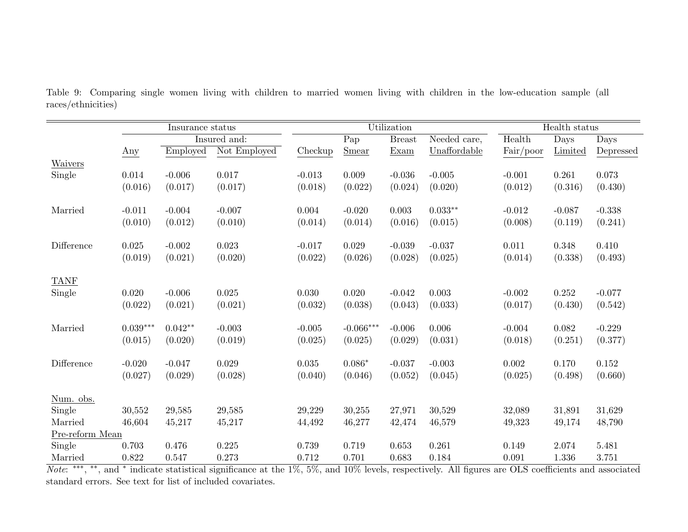|                 |            | Insurance status |              |          |                   | Utilization   |              | Health status |          |           |
|-----------------|------------|------------------|--------------|----------|-------------------|---------------|--------------|---------------|----------|-----------|
|                 |            |                  | Insured and: |          | $\overline{P}$ ap | <b>Breast</b> | Needed care, | Health        | Days     | Days      |
|                 | Any        | Employed         | Not Employed | Checkup  | Smear             | Exam          | Unaffordable | Fair/poor     | Limited  | Depressed |
| <b>Waivers</b>  |            |                  |              |          |                   |               |              |               |          |           |
| Single          | 0.014      | $-0.006$         | 0.017        | $-0.013$ | 0.009             | $-0.036$      | $-0.005$     | $-0.001$      | 0.261    | 0.073     |
|                 | (0.016)    | (0.017)          | (0.017)      | (0.018)  | (0.022)           | (0.024)       | (0.020)      | (0.012)       | (0.316)  | (0.430)   |
|                 |            |                  |              |          |                   |               |              |               |          |           |
| Married         | $-0.011$   | $-0.004$         | $-0.007$     | 0.004    | $-0.020$          | 0.003         | $0.033**$    | $-0.012$      | $-0.087$ | $-0.338$  |
|                 | (0.010)    | (0.012)          | (0.010)      | (0.014)  | (0.014)           | (0.016)       | (0.015)      | (0.008)       | (0.119)  | (0.241)   |
|                 |            |                  |              |          |                   |               |              |               |          |           |
| Difference      | 0.025      | $-0.002$         | 0.023        | $-0.017$ | 0.029             | $-0.039$      | $-0.037$     | 0.011         | 0.348    | 0.410     |
|                 | (0.019)    | (0.021)          | (0.020)      | (0.022)  | (0.026)           | (0.028)       | (0.025)      | (0.014)       | (0.338)  | (0.493)   |
|                 |            |                  |              |          |                   |               |              |               |          |           |
| <b>TANF</b>     |            |                  |              |          |                   |               |              |               |          |           |
| Single          | 0.020      | $-0.006$         | 0.025        | 0.030    | 0.020             | $-0.042$      | 0.003        | $-0.002$      | 0.252    | $-0.077$  |
|                 | (0.022)    | (0.021)          | (0.021)      | (0.032)  | (0.038)           | (0.043)       | (0.033)      | (0.017)       | (0.430)  | (0.542)   |
|                 |            |                  |              |          |                   |               |              |               |          |           |
| Married         | $0.039***$ | $0.042**$        | $-0.003$     | $-0.005$ | $-0.066***$       | $-0.006$      | 0.006        | $-0.004$      | 0.082    | $-0.229$  |
|                 | (0.015)    | (0.020)          | (0.019)      | (0.025)  | (0.025)           | (0.029)       | (0.031)      | (0.018)       | (0.251)  | (0.377)   |
|                 |            |                  |              |          |                   |               |              |               |          |           |
| Difference      | $-0.020$   | $-0.047$         | 0.029        | 0.035    | $0.086*$          | $-0.037$      | $-0.003$     | 0.002         | 0.170    | 0.152     |
|                 | (0.027)    | (0.029)          | (0.028)      | (0.040)  | (0.046)           | (0.052)       | (0.045)      | (0.025)       | (0.498)  | (0.660)   |
|                 |            |                  |              |          |                   |               |              |               |          |           |
| Num. obs.       |            |                  |              |          |                   |               |              |               |          |           |
| Single          | 30,552     | 29,585           | 29,585       | 29,229   | 30,255            | 27,971        | 30,529       | 32,089        | 31,891   | 31,629    |
| Married         | 46,604     | 45,217           | 45,217       | 44,492   | 46,277            | 42,474        | 46,579       | 49,323        | 49,174   | 48,790    |
| Pre-reform Mean |            |                  |              |          |                   |               |              |               |          |           |
| Single          | 0.703      | 0.476            | 0.225        | 0.739    | 0.719             | 0.653         | 0.261        | 0.149         | 2.074    | 5.481     |
| Married         | 0.822      | 0.547            | 0.273        | 0.712    | 0.701             | 0.683         | 0.184        | 0.091         | 1.336    | 3.751     |

Table 9: Comparing single women living with children to married women living with children in the low-education sample (all races/ethnicities)

Married 0.822 0.547 0.273 0.712 0.701 0.683 0.184 0.091 1.336 3.751<br>*Note*: \*\*\*, \*\*, and \* indicate statistical significance at the 1%, 5%, and 10% levels, respectively. All figures are OLS coefficients and associated standard errors. See text for list of included covariates.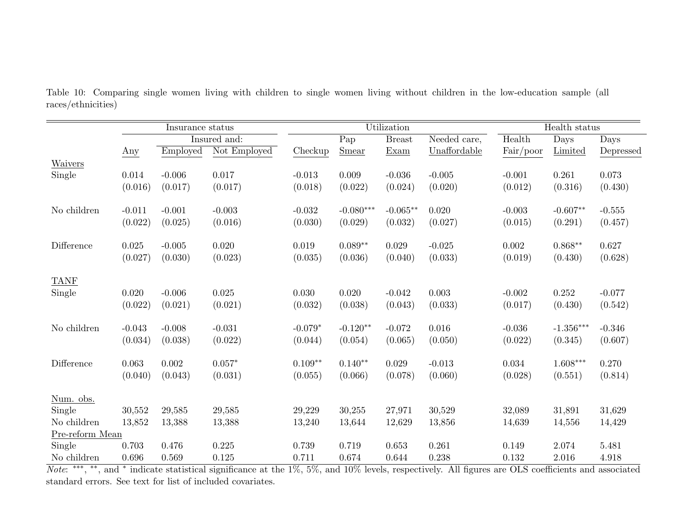|                 |          | Insurance status |              |           |                   | Utilization   |              | Health status |             |           |
|-----------------|----------|------------------|--------------|-----------|-------------------|---------------|--------------|---------------|-------------|-----------|
|                 |          |                  | Insured and: |           | $\overline{P}$ ap | <b>Breast</b> | Needed care, | Health        | Days        | Days      |
|                 | Any      | Employed         | Not Employed | Checkup   | <b>Smear</b>      | Exam          | Unaffordable | Fair/poor     | Limited     | Depressed |
| Waivers         |          |                  |              |           |                   |               |              |               |             |           |
| Single          | 0.014    | $-0.006$         | 0.017        | $-0.013$  | 0.009             | $-0.036$      | $-0.005$     | $-0.001$      | 0.261       | 0.073     |
|                 | (0.016)  | (0.017)          | (0.017)      | (0.018)   | (0.022)           | (0.024)       | (0.020)      | (0.012)       | (0.316)     | (0.430)   |
|                 |          |                  |              |           |                   |               |              |               |             |           |
| No children     | $-0.011$ | $-0.001$         | $-0.003$     | $-0.032$  | $-0.080***$       | $-0.065**$    | 0.020        | $-0.003$      | $-0.607**$  | $-0.555$  |
|                 | (0.022)  | (0.025)          | (0.016)      | (0.030)   | (0.029)           | (0.032)       | (0.027)      | (0.015)       | (0.291)     | (0.457)   |
|                 |          |                  |              |           |                   |               |              |               |             |           |
| Difference      | 0.025    | $-0.005$         | 0.020        | 0.019     | $0.089**$         | 0.029         | $-0.025$     | 0.002         | $0.868**$   | 0.627     |
|                 | (0.027)  | (0.030)          | (0.023)      | (0.035)   | (0.036)           | (0.040)       | (0.033)      | (0.019)       | (0.430)     | (0.628)   |
|                 |          |                  |              |           |                   |               |              |               |             |           |
| <b>TANF</b>     |          |                  |              |           |                   |               |              |               |             |           |
| Single          | 0.020    | $-0.006$         | 0.025        | 0.030     | 0.020             | $-0.042$      | 0.003        | $-0.002$      | 0.252       | $-0.077$  |
|                 | (0.022)  | (0.021)          | (0.021)      | (0.032)   | (0.038)           | (0.043)       | (0.033)      | (0.017)       | (0.430)     | (0.542)   |
|                 |          |                  |              |           |                   |               |              |               |             |           |
| No children     | $-0.043$ | $-0.008$         | $-0.031$     | $-0.079*$ | $-0.120**$        | $-0.072$      | 0.016        | $-0.036$      | $-1.356***$ | $-0.346$  |
|                 | (0.034)  | (0.038)          | (0.022)      | (0.044)   | (0.054)           | (0.065)       | (0.050)      | (0.022)       | (0.345)     | (0.607)   |
| Difference      | 0.063    | 0.002            | $0.057*$     | $0.109**$ | $0.140**$         | 0.029         | $-0.013$     | 0.034         | $1.608***$  | 0.270     |
|                 | (0.040)  | (0.043)          |              | (0.055)   | (0.066)           | (0.078)       |              | (0.028)       | (0.551)     |           |
|                 |          |                  | (0.031)      |           |                   |               | (0.060)      |               |             | (0.814)   |
| Num. obs.       |          |                  |              |           |                   |               |              |               |             |           |
| Single          | 30,552   | 29,585           | 29,585       | 29,229    | 30,255            | 27,971        | 30,529       | 32,089        | 31,891      | 31,629    |
| No children     | 13,852   | 13,388           | 13,388       | 13,240    | 13,644            | 12,629        | 13,856       | 14,639        | 14,556      | 14,429    |
| Pre-reform Mean |          |                  |              |           |                   |               |              |               |             |           |
| Single          | 0.703    | 0.476            | 0.225        | 0.739     | 0.719             | 0.653         | 0.261        | 0.149         | 2.074       | 5.481     |
| No children     | 0.696    | 0.569            | 0.125        | 0.711     | 0.674             | 0.644         | 0.238        | 0.132         | 2.016       | 4.918     |

Table 10: Comparing single women living with children to single women living without children in the low-education sample (all races/ethnicities)

No children 0.696 0.569 0.125 0.711 0.674 0.644 0.238 0.132 2.016 4.918<br>*Note*: <sup>∗∗∗</sup>, <sup>∗∗</sup>, and <sup>∗</sup> indicate statistical significance at the 1%, 5%, and 10% levels, respectively. All figures are OLS coefficients and asso standard errors. See text for list of included covariates.